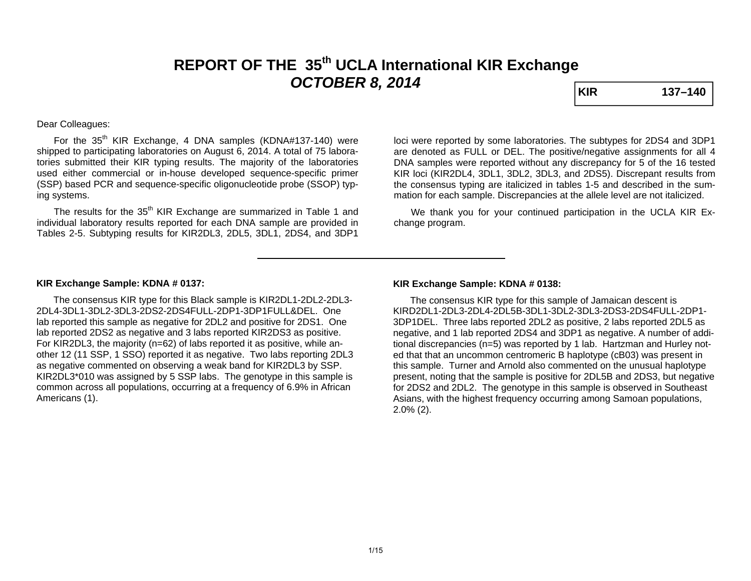# **REPORT OF THE 35th UCLA International KIR Exchange**  *OCTOBER 8, 2014* **KIR** 137–140

#### Dear Colleagues:

For the  $35<sup>th</sup>$  KIR Exchange, 4 DNA samples (KDNA#137-140) were shipped to participating laboratories on August 6, 2014. A total of 75 laboratories submitted their KIR typing results. The majority of the laboratories used either commercial or in-house developed sequence-specific primer (SSP) based PCR and sequence-specific oligonucleotide probe (SSOP) typing systems.

The results for the 35<sup>th</sup> KIR Exchange are summarized in Table 1 and individual laboratory results reported for each DNA sample are provided in Tables 2-5. Subtyping results for KIR2DL3, 2DL5, 3DL1, 2DS4, and 3DP1

loci were reported by some laboratories. The subtypes for 2DS4 and 3DP1 are denoted as FULL or DEL. The positive/negative assignments for all 4 DNA samples were reported without any discrepancy for 5 of the 16 tested KIR loci (KIR2DL4, 3DL1, 3DL2, 3DL3, and 2DS5). Discrepant results from the consensus typing are italicized in tables 1-5 and described in the summation for each sample. Discrepancies at the allele level are not italicized.

 We thank you for your continued participation in the UCLA KIR Exchange program.

#### **KIR Exchange Sample: KDNA # 0137:**

 The consensus KIR type for this Black sample is KIR2DL1-2DL2-2DL3- 2DL4-3DL1-3DL2-3DL3-2DS2-2DS4FULL-2DP1-3DP1FULL&DEL. One lab reported this sample as negative for 2DL2 and positive for 2DS1. One lab reported 2DS2 as negative and 3 labs reported KIR2DS3 as positive. For KIR2DL3, the majority (n=62) of labs reported it as positive, while another 12 (11 SSP, 1 SSO) reported it as negative. Two labs reporting 2DL3 as negative commented on observing a weak band for KIR2DL3 by SSP. KIR2DL3\*010 was assigned by 5 SSP labs. The genotype in this sample is common across all populations, occurring at a frequency of 6.9% in African Americans (1).

#### **KIR Exchange Sample: KDNA # 0138:**

 The consensus KIR type for this sample of Jamaican descent is KIRD2DL1-2DL3-2DL4-2DL5B-3DL1-3DL2-3DL3-2DS3-2DS4FULL-2DP1-3DP1DEL. Three labs reported 2DL2 as positive, 2 labs reported 2DL5 as negative, and 1 lab reported 2DS4 and 3DP1 as negative. A number of additional discrepancies (n=5) was reported by 1 lab. Hartzman and Hurley noted that that an uncommon centromeric B haplotype (cB03) was present in this sample. Turner and Arnold also commented on the unusual haplotype present, noting that the sample is positive for 2DL5B and 2DS3, but negative for 2DS2 and 2DL2. The genotype in this sample is observed in Southeast Asians, with the highest frequency occurring among Samoan populations, 2.0% (2).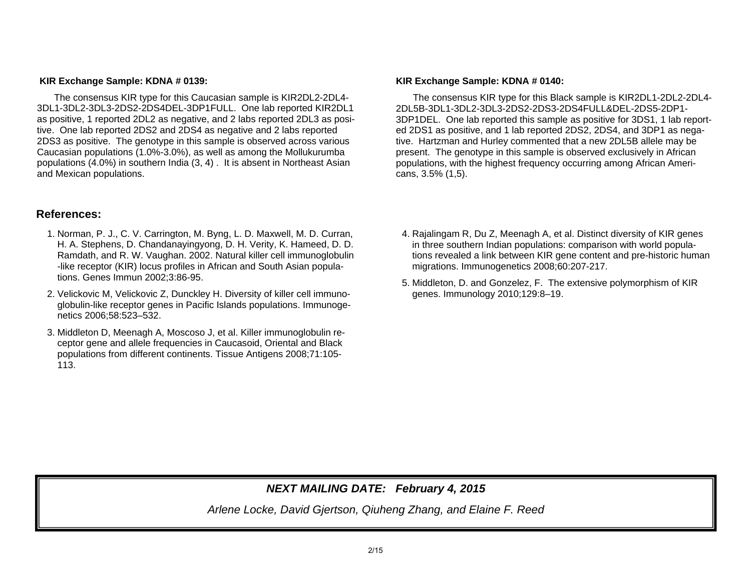#### **KIR Exchange Sample: KDNA # 0139:**

 The consensus KIR type for this Caucasian sample is KIR2DL2-2DL4- 3DL1-3DL2-3DL3-2DS2-2DS4DEL-3DP1FULL. One lab reported KIR2DL1 as positive, 1 reported 2DL2 as negative, and 2 labs reported 2DL3 as positive. One lab reported 2DS2 and 2DS4 as negative and 2 labs reported 2DS3 as positive. The genotype in this sample is observed across various Caucasian populations (1.0%-3.0%), as well as among the Mollukurumba populations (4.0%) in southern India (3, 4) . It is absent in Northeast Asian and Mexican populations.

# **References:**

- 1. Norman, P. J., C. V. Carrington, M. Byng, L. D. Maxwell, M. D. Curran, H. A. Stephens, D. Chandanayingyong, D. H. Verity, K. Hameed, D. D. Ramdath, and R. W. Vaughan. 2002. Natural killer cell immunoglobulin -like receptor (KIR) locus profiles in African and South Asian populations. Genes Immun 2002;3:86-95.
- 2. Velickovic M, Velickovic Z, Dunckley H. Diversity of killer cell immunoglobulin-like receptor genes in Pacific Islands populations. Immunogenetics 2006;58:523–532.
- 3. Middleton D, Meenagh A, Moscoso J, et al. Killer immunoglobulin receptor gene and allele frequencies in Caucasoid, Oriental and Black populations from different continents. Tissue Antigens 2008;71:105- 113.

#### **KIR Exchange Sample: KDNA # 0140:**

The consensus KIR type for this Black sample is KIR2DL1-2DL2-2DL4- 2DL5B-3DL1-3DL2-3DL3-2DS2-2DS3-2DS4FULL&DEL-2DS5-2DP1-3DP1DEL. One lab reported this sample as positive for 3DS1, 1 lab reported 2DS1 as positive, and 1 lab reported 2DS2, 2DS4, and 3DP1 as negative. Hartzman and Hurley commented that a new 2DL5B allele may be present. The genotype in this sample is observed exclusively in African populations, with the highest frequency occurring among African Americans, 3.5% (1,5).

- 4. Rajalingam R, Du Z, Meenagh A, et al. Distinct diversity of KIR genes in three southern Indian populations: comparison with world populations revealed a link between KIR gene content and pre-historic human migrations. Immunogenetics 2008;60:207-217.
- 5. Middleton, D. and Gonzelez, F. The extensive polymorphism of KIR genes. Immunology 2010;129:8–19.

# *NEXT MAILING DATE: February 4, 2015*

*Arlene Locke, David Gjertson, Qiuheng Zhang, and Elaine F. Reed*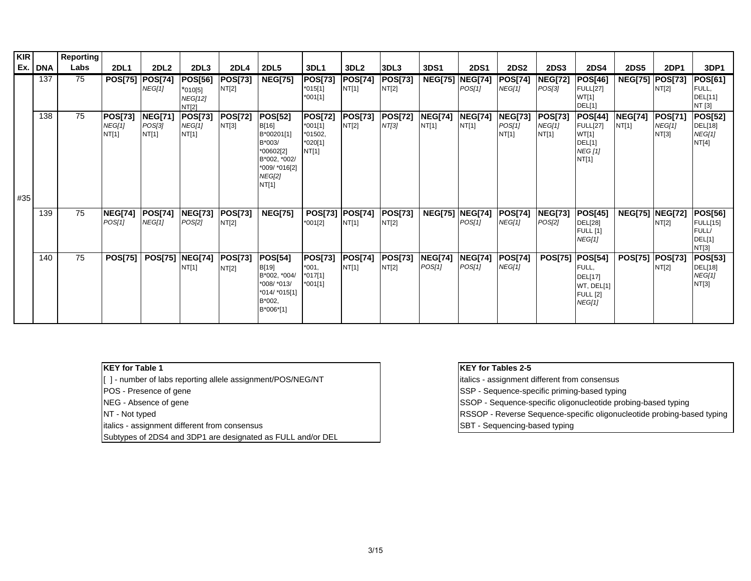| <b>KIR</b> |         | Reporting |                                          |                                   |                                                               |                         |                                                                                                                         |                                                                |                         |                         |                          |                          |                                   |                                          |                                                                                      |                         |                                          |                                                                      |
|------------|---------|-----------|------------------------------------------|-----------------------------------|---------------------------------------------------------------|-------------------------|-------------------------------------------------------------------------------------------------------------------------|----------------------------------------------------------------|-------------------------|-------------------------|--------------------------|--------------------------|-----------------------------------|------------------------------------------|--------------------------------------------------------------------------------------|-------------------------|------------------------------------------|----------------------------------------------------------------------|
|            | Ex. DNA | Labs      | <b>2DL1</b>                              | <b>2DL2</b>                       | 2DL <sub>3</sub>                                              | <b>2DL4</b>             | <b>2DL5</b>                                                                                                             | 3DL1                                                           | 3DL <sub>2</sub>        | 3DL3                    | <b>3DS1</b>              | <b>2DS1</b>              | <b>2DS2</b>                       | <b>2DS3</b>                              | <b>2DS4</b>                                                                          | <b>2DS5</b>             | <b>2DP1</b>                              | 3DP1                                                                 |
|            | 137     | 75        | <b>POS[75]</b>                           | <b>POS[74]</b><br>NEG[1]          | <b>POS[56]</b><br>$*010[5]$<br><b>NEG[12]</b><br><b>NT[2]</b> | <b>POS[73]</b><br>NT[2] | <b>NEG[75]</b>                                                                                                          | <b>POS[73]</b><br>$*015[1]$<br>$*001[1]$                       | POS[74]<br>NT[1]        | <b>POS[73]</b><br>NT[2] | <b>NEG[75]</b>           | <b>NEG[74]</b><br>POS[1] | <b>POS[74]</b><br>NEG[1]          | <b>NEG[72]</b><br>POS[3]                 | POS[46]<br><b>FULL[27]</b><br>WT[1]<br>DEL[1]                                        | <b>NEG[75] POS[73]</b>  | NT[2]                                    | <b>POS[61]</b><br>FULL,<br>DEL[11]<br>NT [3]                         |
| #35        | 138     | 75        | <b>POS[73]</b><br><b>NEG[1]</b><br>NT[1] | <b>NEG[71]</b><br>POS[3]<br>NT[1] | POS[73]<br>NEG[1]<br>NT[1]                                    | <b>POS[72]</b><br>NT[3] | <b>POS[52]</b><br>B[16]<br>B*00201[1]<br>B*003/<br>*00602[2]<br>B*002, *002/<br>*009/ *016[2]<br><b>NEG[2]</b><br>NT[1] | <b>POS[72]</b><br>$*001[1]$<br>$*01502,$<br>$*020[1]$<br>NT[1] | <b>POS[73]</b><br>NT[2] | <b>POS[72]</b><br>NT[3] | <b>NEG[74]</b><br>NT[1]  | <b>NEG[74]</b><br>NT[1]  | <b>NEG[73]</b><br>POS[1]<br>NT[1] | <b>POS[73]</b><br><b>NEG[1]</b><br>NT[1] | <b>POS[44]</b><br><b>FULL[27]</b><br>WT[1]<br>DEL[1]<br><b>NEG</b> [1]<br>NT[1]      | <b>NEG[74]</b><br>NT[1] | <b>POS[71]</b><br><b>NEG[1]</b><br>NT[3] | <b>POS[52]</b><br>DEL[18]<br>NEG[1]<br>NT[4]                         |
|            | 139     | 75        | <b>NEG[74]</b><br><b>POS[1]</b>          | <b>POS[74]</b><br><b>NEG[1]</b>   | <b>NEG[73]</b><br><b>POS[2]</b>                               | <b>POS[73]</b><br>NT[2] | <b>NEG[75]</b>                                                                                                          | POS[73] POS[74]<br>$*001[2]$                                   | NT[1]                   | POS[73]<br>NT[2]        | <b>NEG[75]</b>           | <b>NEG[74]</b><br>POS[1] | <b>POS[74]</b><br><b>NEG[1]</b>   | <b>NEG[73]</b><br>POS[2]                 | <b>POS[45]</b><br><b>DEL[28]</b><br><b>FULL [1]</b><br>NEG[1]                        | <b>NEG[75] NEG[72]</b>  | NT[2]                                    | <b>POS[56]</b><br><b>FULL[15]</b><br><b>FULL/</b><br>DEL[1]<br>NT[3] |
|            | 140     | 75        | <b>POS[75]</b>                           | <b>POS[75]</b>                    | <b>NEG[74]</b><br>NT[1]                                       | <b>POS[73]</b><br>NT[2] | <b>POS[54]</b><br>B[19]<br>B*002, *004/<br>*008/ *013/<br>*014/ *015[1]<br>B*002,<br>B*006*[1]                          | <b>POS[73]</b><br>$*001,$<br>$*017[1]$<br>$*001[1]$            | <b>POS[74]</b><br>NT[1] | POS[73]<br>NT[2]        | <b>NEG[74]</b><br>POS[1] | <b>NEG[74]</b><br>POS[1] | <b>POS[74]</b><br>NEG[1]          | <b>POS[75]</b>                           | <b>POS[54]</b><br>FULL,<br><b>DEL[17]</b><br>WT, DEL[1]<br><b>FULL</b> [2]<br>NEG[1] | POS[75] POS[73]         | NT[2]                                    | <b>POS[53]</b><br>DEL[18]<br>NEG[1]<br>NT[3]                         |

## **KEY for Table 1**

- [ ] number of labs reporting allele assignment/POS/NEG/NT italics assignment different from consensus
- 
- 
- 
- italics assignment different from consensus SBT Sequencing-based typing in the SBT Sequencing-based typing
- Subtypes of 2DS4 and 3DP1 are designated as FULL and/or DEL

### **KEY for Tables 2-5**

- 
- POS Presence of gene SSP Sequence-specific priming-based typing
- NEG Absence of gene SSOP Sequence-specific oligonucleotide probing-based typing
- NT Not typed **RSSOP** Reverse Sequence-specific oligonucleotide probing-based typing
	-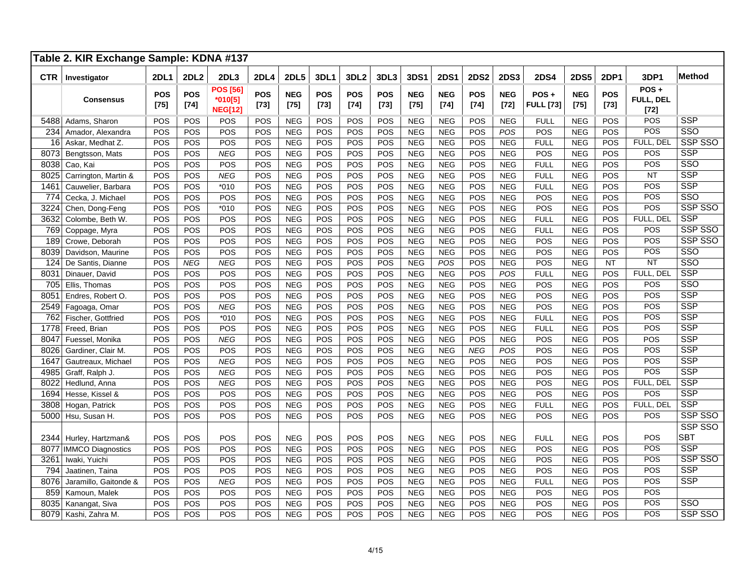|            | Table 2. KIR Exchange Sample: KDNA #137 |                      |               |                                                |                      |                      |                      |                      |                      |                      |                      |                      |                      |                          |                      |                      |                             |               |
|------------|-----------------------------------------|----------------------|---------------|------------------------------------------------|----------------------|----------------------|----------------------|----------------------|----------------------|----------------------|----------------------|----------------------|----------------------|--------------------------|----------------------|----------------------|-----------------------------|---------------|
| <b>CTR</b> | Investigator                            | <b>2DL1</b>          | <b>2DL2</b>   | 2DL3                                           | <b>2DL4</b>          | <b>2DL5</b>          | 3DL1                 | 3DL <sub>2</sub>     | 3DL3                 | <b>3DS1</b>          | <b>2DS1</b>          | <b>2DS2</b>          | <b>2DS3</b>          | <b>2DS4</b>              | <b>2DS5</b>          | <b>2DP1</b>          | 3DP1                        | <b>Method</b> |
|            | <b>Consensus</b>                        | <b>POS</b><br>$[75]$ | POS<br>$[74]$ | <b>POS [56]</b><br>$*010[5]$<br><b>NEG[12]</b> | <b>POS</b><br>$[73]$ | <b>NEG</b><br>$[75]$ | <b>POS</b><br>$[73]$ | <b>POS</b><br>$[74]$ | <b>POS</b><br>$[73]$ | <b>NEG</b><br>$[75]$ | <b>NEG</b><br>$[74]$ | <b>POS</b><br>$[74]$ | <b>NEG</b><br>$[72]$ | POS+<br><b>FULL [73]</b> | <b>NEG</b><br>$[75]$ | <b>POS</b><br>$[73]$ | POS+<br>FULL, DEL<br>$[72]$ |               |
| 5488       | Adams, Sharon                           | POS                  | POS           | POS                                            | POS                  | <b>NEG</b>           | POS                  | POS                  | POS                  | <b>NEG</b>           | <b>NEG</b>           | POS                  | <b>NEG</b>           | <b>FULL</b>              | <b>NEG</b>           | POS                  | POS                         | <b>SSP</b>    |
| 234        | Amador, Alexandra                       | POS                  | POS           | <b>POS</b>                                     | POS                  | <b>NEG</b>           | POS                  | POS                  | POS                  | <b>NEG</b>           | <b>NEG</b>           | POS                  | POS                  | <b>POS</b>               | <b>NEG</b>           | POS                  | POS                         | SSO           |
| 16         | Askar, Medhat Z.                        | POS                  | POS           | POS                                            | POS                  | <b>NEG</b>           | POS                  | POS                  | POS                  | <b>NEG</b>           | <b>NEG</b>           | POS                  | <b>NEG</b>           | <b>FULL</b>              | <b>NEG</b>           | POS                  | FULL. DEL                   | SSP SSO       |
| 8073       | Bengtsson, Mats                         | POS                  | POS           | <b>NEG</b>                                     | POS                  | <b>NEG</b>           | POS                  | POS                  | POS                  | <b>NEG</b>           | <b>NEG</b>           | POS                  | <b>NEG</b>           | POS                      | <b>NEG</b>           | POS                  | POS                         | <b>SSP</b>    |
| 8038       | Cao, Kai                                | POS                  | POS           | POS                                            | POS                  | <b>NEG</b>           | POS                  | POS                  | POS                  | <b>NEG</b>           | <b>NEG</b>           | POS                  | <b>NEG</b>           | <b>FULL</b>              | <b>NEG</b>           | POS                  | POS                         | SSO           |
| 8025       | Carrington, Martin &                    | POS                  | POS           | <b>NEG</b>                                     | POS                  | <b>NEG</b>           | POS                  | POS                  | POS                  | <b>NEG</b>           | <b>NEG</b>           | POS                  | <b>NEG</b>           | <b>FULL</b>              | <b>NEG</b>           | POS                  | <b>NT</b>                   | <b>SSP</b>    |
| 1461       | Cauwelier, Barbara                      | POS                  | POS           | $*010$                                         | POS                  | <b>NEG</b>           | POS                  | POS                  | POS                  | NEG                  | <b>NEG</b>           | POS                  | <b>NEG</b>           | <b>FULL</b>              | <b>NEG</b>           | POS                  | POS                         | <b>SSP</b>    |
| 774        | Cecka, J. Michael                       | POS                  | POS           | POS                                            | POS                  | <b>NEG</b>           | POS                  | POS                  | POS                  | <b>NEG</b>           | <b>NEG</b>           | POS                  | <b>NEG</b>           | POS                      | <b>NEG</b>           | POS                  | POS                         | SSO           |
| 3224       | Chen, Dong-Feng                         | POS                  | POS           | $*010$                                         | POS                  | <b>NEG</b>           | POS                  | POS                  | POS                  | <b>NEG</b>           | <b>NEG</b>           | POS                  | <b>NEG</b>           | POS                      | <b>NEG</b>           | POS                  | POS                         | SSP SSO       |
| 3632       | Colombe, Beth W.                        | POS                  | POS           | POS                                            | POS                  | <b>NEG</b>           | POS                  | POS                  | POS                  | <b>NEG</b>           | <b>NEG</b>           | POS                  | <b>NEG</b>           | <b>FULL</b>              | <b>NEG</b>           | POS                  | FULL, DEL                   | <b>SSP</b>    |
| 769        | Coppage, Myra                           | POS                  | POS           | POS                                            | POS                  | <b>NEG</b>           | POS                  | POS                  | POS                  | <b>NEG</b>           | <b>NEG</b>           | POS                  | <b>NEG</b>           | <b>FULL</b>              | <b>NEG</b>           | POS                  | POS                         | SSP SSO       |
| 189        | Crowe, Deborah                          | POS                  | POS           | POS                                            | POS                  | <b>NEG</b>           | POS                  | POS                  | POS                  | <b>NEG</b>           | <b>NEG</b>           | POS                  | <b>NEG</b>           | POS                      | <b>NEG</b>           | POS                  | POS                         | SSP SSO       |
| 8039       | Davidson, Maurine                       | POS                  | POS           | POS                                            | POS                  | <b>NEG</b>           | POS                  | POS                  | POS                  | <b>NEG</b>           | <b>NEG</b>           | POS                  | <b>NEG</b>           | <b>POS</b>               | <b>NEG</b>           | POS                  | POS                         | SSO           |
| 124        | De Santis, Dianne                       | POS                  | <b>NEG</b>    | <b>NEG</b>                                     | POS                  | <b>NEG</b>           | POS                  | POS                  | POS                  | <b>NEG</b>           | POS                  | POS                  | <b>NEG</b>           | POS                      | <b>NEG</b>           | <b>NT</b>            | <b>NT</b>                   | SSO           |
| 8031       | Dinauer, David                          | POS                  | POS           | POS                                            | POS                  | <b>NEG</b>           | POS                  | POS                  | POS                  | <b>NEG</b>           | <b>NEG</b>           | POS                  | POS                  | <b>FULL</b>              | <b>NEG</b>           | POS                  | FULL, DEL                   | <b>SSP</b>    |
| 705        | Ellis. Thomas                           | POS                  | POS           | POS                                            | POS                  | <b>NEG</b>           | POS                  | POS                  | POS                  | <b>NEG</b>           | <b>NEG</b>           | POS                  | <b>NEG</b>           | POS                      | <b>NEG</b>           | POS                  | POS                         | SSO           |
| 8051       | Endres, Robert O.                       | POS                  | POS           | POS                                            | POS                  | <b>NEG</b>           | POS                  | POS                  | POS                  | <b>NEG</b>           | <b>NEG</b>           | POS                  | <b>NEG</b>           | POS                      | <b>NEG</b>           | POS                  | POS                         | <b>SSP</b>    |
| 2549       | Fagoaga, Omar                           | POS                  | POS           | <b>NEG</b>                                     | POS                  | <b>NEG</b>           | POS                  | POS                  | POS                  | <b>NEG</b>           | <b>NEG</b>           | POS                  | <b>NEG</b>           | POS                      | <b>NEG</b>           | POS                  | POS                         | <b>SSP</b>    |
| 762        | Fischer, Gottfried                      | POS                  | POS           | $*010$                                         | POS                  | <b>NEG</b>           | POS                  | POS                  | POS                  | <b>NEG</b>           | <b>NEG</b>           | POS                  | <b>NEG</b>           | <b>FULL</b>              | <b>NEG</b>           | POS                  | POS                         | <b>SSP</b>    |
| 1778       | Freed, Brian                            | POS                  | POS           | POS                                            | POS                  | <b>NEG</b>           | POS                  | POS                  | POS                  | <b>NEG</b>           | <b>NEG</b>           | POS                  | <b>NEG</b>           | <b>FULL</b>              | <b>NEG</b>           | POS                  | POS                         | <b>SSP</b>    |
| 8047       | Fuessel, Monika                         | POS                  | POS           | <b>NEG</b>                                     | POS                  | <b>NEG</b>           | POS                  | POS                  | POS                  | <b>NEG</b>           | <b>NEG</b>           | POS                  | <b>NEG</b>           | POS                      | <b>NEG</b>           | POS                  | POS                         | <b>SSP</b>    |
| 8026       | Gardiner, Clair M.                      | POS                  | POS           | POS                                            | POS                  | <b>NEG</b>           | POS                  | POS                  | POS                  | <b>NEG</b>           | <b>NEG</b>           | <b>NEG</b>           | POS                  | POS                      | <b>NEG</b>           | POS                  | POS                         | <b>SSP</b>    |
| 1647       | Gautreaux, Michael                      | POS                  | POS           | <b>NEG</b>                                     | POS                  | <b>NEG</b>           | POS                  | POS                  | POS                  | <b>NEG</b>           | <b>NEG</b>           | POS                  | <b>NEG</b>           | POS                      | <b>NEG</b>           | POS                  | POS                         | <b>SSP</b>    |
| 4985       | Graff, Ralph J.                         | POS                  | POS           | <b>NEG</b>                                     | POS                  | <b>NEG</b>           | POS                  | POS                  | POS                  | <b>NEG</b>           | <b>NEG</b>           | POS                  | <b>NEG</b>           | POS                      | <b>NEG</b>           | POS                  | POS                         | <b>SSP</b>    |
| 8022       | Hedlund, Anna                           | POS                  | POS           | <b>NEG</b>                                     | POS                  | <b>NEG</b>           | POS                  | POS                  | POS                  | <b>NEG</b>           | <b>NEG</b>           | POS                  | <b>NEG</b>           | POS                      | <b>NEG</b>           | POS                  | FULL, DEL                   | <b>SSP</b>    |
| 1694       | Hesse, Kissel &                         | POS                  | POS           | POS                                            | POS                  | <b>NEG</b>           | POS                  | POS                  | POS                  | <b>NEG</b>           | <b>NEG</b>           | POS                  | <b>NEG</b>           | POS                      | <b>NEG</b>           | POS                  | POS                         | <b>SSP</b>    |
| 3808       | Hogan, Patrick                          | POS                  | POS           | POS                                            | POS                  | <b>NEG</b>           | POS                  | POS                  | POS                  | <b>NEG</b>           | <b>NEG</b>           | POS                  | <b>NEG</b>           | <b>FULL</b>              | <b>NEG</b>           | POS                  | FULL, DEL                   | <b>SSP</b>    |
| 5000       | Hsu, Susan H.                           | POS                  | POS           | POS                                            | POS                  | <b>NEG</b>           | POS                  | POS                  | POS                  | <b>NEG</b>           | <b>NEG</b>           | POS                  | <b>NEG</b>           | <b>POS</b>               | <b>NEG</b>           | POS                  | POS                         | SSP SSO       |
|            |                                         |                      |               |                                                |                      |                      |                      |                      |                      |                      |                      |                      |                      |                          |                      |                      |                             | SSP SSO       |
| 2344       | Hurley, Hartzman&                       | POS                  | POS           | POS                                            | POS                  | <b>NEG</b>           | POS                  | POS                  | POS                  | <b>NEG</b>           | <b>NEG</b>           | POS                  | <b>NEG</b>           | <b>FULL</b>              | <b>NEG</b>           | POS                  | POS                         | <b>SBT</b>    |
| 8077       | <b>IMMCO Diagnostics</b>                | POS                  | POS           | POS                                            | POS                  | <b>NEG</b>           | POS                  | POS                  | POS                  | <b>NEG</b>           | <b>NEG</b>           | POS                  | NEG                  | POS                      | <b>NEG</b>           | POS                  | POS                         | <b>SSP</b>    |
| 3261       | Iwaki, Yuichi                           | <b>POS</b>           | POS           | POS                                            | POS                  | <b>NEG</b>           | POS                  | POS                  | POS                  | <b>NEG</b>           | <b>NEG</b>           | <b>POS</b>           | <b>NEG</b>           | <b>POS</b>               | <b>NEG</b>           | POS                  | POS                         | SSP SSO       |
| 794        | Jaatinen, Taina                         | <b>POS</b>           | POS           | POS                                            | POS                  | <b>NEG</b>           | POS                  | POS                  | POS                  | <b>NEG</b>           | <b>NEG</b>           | POS                  | <b>NEG</b>           | POS                      | <b>NEG</b>           | POS                  | POS                         | <b>SSP</b>    |
| 8076       | Jaramillo, Gaitonde &                   | POS                  | POS           | <b>NEG</b>                                     | POS                  | <b>NEG</b>           | POS                  | POS                  | POS                  | <b>NEG</b>           | <b>NEG</b>           | POS                  | <b>NEG</b>           | <b>FULL</b>              | <b>NEG</b>           | POS                  | POS                         | <b>SSP</b>    |
| 859        | Kamoun, Malek                           | <b>POS</b>           | POS           | POS                                            | POS                  | <b>NEG</b>           | POS                  | POS                  | POS                  | <b>NEG</b>           | <b>NEG</b>           | <b>POS</b>           | <b>NEG</b>           | POS                      | <b>NEG</b>           | POS                  | POS                         |               |
| 8035       | Kanangat, Siva                          | POS                  | POS           | POS                                            | POS                  | <b>NEG</b>           | POS                  | POS                  | POS                  | <b>NEG</b>           | <b>NEG</b>           | POS                  | <b>NEG</b>           | POS                      | <b>NEG</b>           | POS                  | POS                         | SSO           |
| 8079       | Kashi, Zahra M.                         | POS                  | POS           | POS                                            | POS                  | <b>NEG</b>           | POS                  | POS                  | POS                  | <b>NEG</b>           | <b>NEG</b>           | POS                  | <b>NEG</b>           | POS                      | <b>NEG</b>           | POS                  | POS                         | SSP SSO       |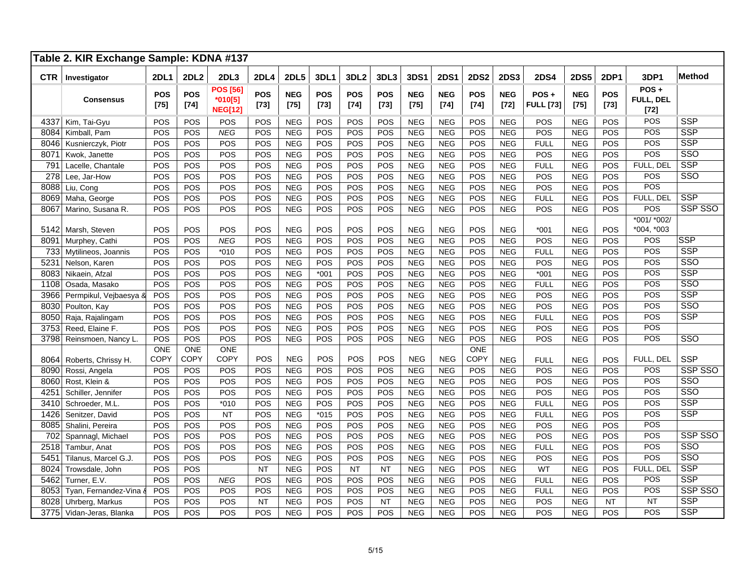|                  | Table 2. KIR Exchange Sample: KDNA #137 |                    |                           |                                              |                      |                      |               |                      |                      |                      |                      |                           |                      |                          |                      |                    |                             |               |
|------------------|-----------------------------------------|--------------------|---------------------------|----------------------------------------------|----------------------|----------------------|---------------|----------------------|----------------------|----------------------|----------------------|---------------------------|----------------------|--------------------------|----------------------|--------------------|-----------------------------|---------------|
| <b>CTR</b>       | Investigator                            | <b>2DL1</b>        | <b>2DL2</b>               | 2DL3                                         | <b>2DL4</b>          | <b>2DL5</b>          | 3DL1          | 3DL <sub>2</sub>     | 3DL3                 | <b>3DS1</b>          | <b>2DS1</b>          | <b>2DS2</b>               | <b>2DS3</b>          | <b>2DS4</b>              | <b>2DS5</b>          | <b>2DP1</b>        | 3DP1                        | <b>Method</b> |
|                  | <b>Consensus</b>                        | <b>POS</b><br>[75] | <b>POS</b><br>$[74]$      | <b>POS [56]</b><br>*010[5]<br><b>NEG[12]</b> | <b>POS</b><br>$[73]$ | <b>NEG</b><br>$[75]$ | POS<br>$[73]$ | <b>POS</b><br>$[74]$ | <b>POS</b><br>$[73]$ | <b>NEG</b><br>$[75]$ | <b>NEG</b><br>$[74]$ | <b>POS</b><br>$[74]$      | <b>NEG</b><br>$[72]$ | POS+<br><b>FULL</b> [73] | <b>NEG</b><br>$[75]$ | <b>POS</b><br>[73] | POS+<br>FULL, DEL<br>$[72]$ |               |
| 4337             | Kim, Tai-Gyu                            | POS                | POS                       | POS                                          | POS                  | <b>NEG</b>           | POS           | POS                  | POS                  | <b>NEG</b>           | <b>NEG</b>           | POS                       | <b>NEG</b>           | POS                      | <b>NEG</b>           | POS                | POS                         | <b>SSP</b>    |
| 8084             | Kimball, Pam                            | POS                | POS                       | <b>NEG</b>                                   | POS                  | <b>NEG</b>           | POS           | POS                  | POS                  | <b>NEG</b>           | <b>NEG</b>           | POS                       | <b>NEG</b>           | POS                      | <b>NEG</b>           | POS                | POS                         | <b>SSP</b>    |
| 8046             | Kusnierczyk, Piotr                      | POS                | POS                       | POS                                          | POS                  | <b>NEG</b>           | POS           | POS                  | POS                  | <b>NEG</b>           | <b>NEG</b>           | POS                       | <b>NEG</b>           | <b>FULL</b>              | <b>NEG</b>           | POS                | POS                         | <b>SSP</b>    |
| 8071             | Kwok, Janette                           | POS                | POS                       | POS                                          | POS                  | <b>NEG</b>           | POS           | POS                  | POS                  | <b>NEG</b>           | <b>NEG</b>           | POS                       | <b>NEG</b>           | POS                      | <b>NEG</b>           | POS                | POS                         | SSO           |
| 791              | Lacelle, Chantale                       | POS                | POS                       | POS                                          | POS                  | <b>NEG</b>           | POS           | POS                  | POS                  | <b>NEG</b>           | <b>NEG</b>           | POS                       | <b>NEG</b>           | <b>FULL</b>              | <b>NEG</b>           | POS                | FULL, DEL                   | <b>SSP</b>    |
| $\overline{278}$ | Lee, Jar-How                            | POS                | POS                       | POS                                          | POS                  | <b>NEG</b>           | POS           | POS                  | POS                  | <b>NEG</b>           | <b>NEG</b>           | POS                       | <b>NEG</b>           | POS                      | <b>NEG</b>           | POS                | POS                         | SSO           |
| 8088             | Liu, Cong                               | POS                | POS                       | POS                                          | POS                  | <b>NEG</b>           | POS           | POS                  | POS                  | NEG                  | <b>NEG</b>           | POS                       | <b>NEG</b>           | POS                      | <b>NEG</b>           | POS                | POS                         |               |
| 8069             | Maha, George                            | POS                | POS                       | POS                                          | POS                  | <b>NEG</b>           | POS           | POS                  | POS                  | $NEG$                | <b>NEG</b>           | POS                       | <b>NEG</b>           | <b>FULL</b>              | <b>NEG</b>           | POS                | FULL, DEL                   | <b>SSP</b>    |
| 8067             | Marino, Susana R.                       | POS                | POS                       | POS                                          | POS                  | <b>NEG</b>           | POS           | POS                  | POS                  | <b>NEG</b>           | <b>NEG</b>           | POS                       | <b>NEG</b>           | POS                      | <b>NEG</b>           | POS                | POS                         | SSP SSO       |
| 5142             | Marsh, Steven                           | POS                | POS                       | POS                                          | POS                  | <b>NEG</b>           | POS           | POS                  | POS                  | <b>NEG</b>           | <b>NEG</b>           | POS                       | <b>NEG</b>           | $*001$                   | <b>NEG</b>           | POS                | *001/ *002/<br>*004, *003   |               |
| 8091             | Murphey, Cathi                          | POS                | POS                       | <b>NEG</b>                                   | POS                  | <b>NEG</b>           | POS           | POS                  | POS                  | <b>NEG</b>           | <b>NEG</b>           | POS                       | <b>NEG</b>           | POS                      | <b>NEG</b>           | POS                | POS                         | <b>SSP</b>    |
| 733              | Mytilineos, Joannis                     | POS                | POS                       | $*010$                                       | POS                  | <b>NEG</b>           | POS           | POS                  | POS                  | <b>NEG</b>           | <b>NEG</b>           | POS                       | <b>NEG</b>           | <b>FULL</b>              | <b>NEG</b>           | POS                | POS                         | <b>SSP</b>    |
| 5231             | Nelson, Karen                           | POS                | POS                       | POS                                          | POS                  | <b>NEG</b>           | POS           | POS                  | POS                  | <b>NEG</b>           | <b>NEG</b>           | POS                       | <b>NEG</b>           | POS                      | <b>NEG</b>           | POS                | POS                         | SSO           |
| 8083             | Nikaein, Afzal                          | POS                | POS                       | POS                                          | POS                  | <b>NEG</b>           | $*001$        | POS                  | POS                  | <b>NEG</b>           | <b>NEG</b>           | POS                       | <b>NEG</b>           | $*001$                   | <b>NEG</b>           | POS                | POS                         | <b>SSP</b>    |
| 1108             | Osada, Masako                           | POS                | POS                       | POS                                          | POS                  | <b>NEG</b>           | POS           | POS                  | POS                  | <b>NEG</b>           | <b>NEG</b>           | POS                       | <b>NEG</b>           | <b>FULL</b>              | <b>NEG</b>           | POS                | POS                         | SSO           |
| 3966             | Permpikul, Vejbaesya &                  | POS                | POS                       | POS                                          | POS                  | <b>NEG</b>           | POS           | POS                  | POS                  | <b>NEG</b>           | <b>NEG</b>           | POS                       | <b>NEG</b>           | POS                      | <b>NEG</b>           | POS                | POS                         | <b>SSP</b>    |
| 8030             | Poulton, Kay                            | POS                | POS                       | POS                                          | POS                  | <b>NEG</b>           | POS           | POS                  | POS                  | <b>NEG</b>           | <b>NEG</b>           | POS                       | <b>NEG</b>           | POS                      | <b>NEG</b>           | POS                | POS                         | SSO           |
| 8050             | Raja, Rajalingam                        | POS                | POS                       | POS                                          | POS                  | <b>NEG</b>           | POS           | POS                  | POS                  | <b>NEG</b>           | <b>NEG</b>           | POS                       | <b>NEG</b>           | <b>FULL</b>              | <b>NEG</b>           | POS                | POS                         | <b>SSP</b>    |
| 3753             | Reed. Elaine F.                         | POS                | POS                       | POS                                          | POS                  | <b>NEG</b>           | POS           | POS                  | POS                  | <b>NEG</b>           | <b>NEG</b>           | POS                       | <b>NEG</b>           | POS                      | <b>NEG</b>           | POS                | POS                         |               |
| 3798             | Reinsmoen, Nancy L.                     | POS                | POS                       | POS                                          | POS                  | <b>NEG</b>           | POS           | POS                  | POS                  | <b>NEG</b>           | <b>NEG</b>           | POS                       | <b>NEG</b>           | <b>POS</b>               | <b>NEG</b>           | POS                | POS                         | SSO           |
| 8064             | Roberts, Chrissy H.                     | ONE<br>COPY        | <b>ONE</b><br><b>COPY</b> | <b>ONE</b><br><b>COPY</b>                    | POS                  | <b>NEG</b>           | POS           | POS                  | POS                  | <b>NEG</b>           | <b>NEG</b>           | <b>ONE</b><br><b>COPY</b> | <b>NEG</b>           | <b>FULL</b>              | <b>NEG</b>           | POS                | FULL, DEL                   | <b>SSP</b>    |
| 8090             | Rossi, Angela                           | <b>POS</b>         | <b>POS</b>                | POS                                          | POS                  | <b>NEG</b>           | POS           | POS                  | POS                  | <b>NEG</b>           | <b>NEG</b>           | POS                       | <b>NEG</b>           | POS                      | <b>NEG</b>           | POS                | POS                         | SSP SSO       |
| 8060             | Rost, Klein &                           | POS                | POS                       | POS                                          | POS                  | <b>NEG</b>           | POS           | POS                  | POS                  | <b>NEG</b>           | <b>NEG</b>           | POS                       | <b>NEG</b>           | POS                      | <b>NEG</b>           | POS                | POS                         | SSO           |
| 425'             | Schiller, Jennifer                      | POS                | POS                       | POS                                          | POS                  | <b>NEG</b>           | POS           | POS                  | POS                  | <b>NEG</b>           | <b>NEG</b>           | POS                       | <b>NEG</b>           | POS                      | <b>NEG</b>           | POS                | POS                         | SSO           |
| 3410             | Schroeder, M.L.                         | POS                | POS                       | $*010$                                       | POS                  | <b>NEG</b>           | POS           | POS                  | POS                  | <b>NEG</b>           | <b>NEG</b>           | POS                       | <b>NEG</b>           | <b>FULL</b>              | <b>NEG</b>           | POS                | POS                         | <b>SSP</b>    |
| 1426             | Senitzer, David                         | POS                | POS                       | <b>NT</b>                                    | POS                  | <b>NEG</b>           | $*015$        | POS                  | POS                  | <b>NEG</b>           | <b>NEG</b>           | POS                       | <b>NEG</b>           | <b>FULL</b>              | <b>NEG</b>           | POS                | POS                         | <b>SSP</b>    |
| 8085             | Shalini, Pereira                        | POS                | POS                       | POS                                          | POS                  | <b>NEG</b>           | POS           | POS                  | POS                  | <b>NEG</b>           | <b>NEG</b>           | POS                       | <b>NEG</b>           | POS                      | <b>NEG</b>           | POS                | POS                         |               |
| 702              | Spannagl, Michael                       | POS                | POS                       | POS                                          | POS                  | <b>NEG</b>           | POS           | POS                  | POS                  | <b>NEG</b>           | <b>NEG</b>           | POS                       | <b>NEG</b>           | POS                      | <b>NEG</b>           | POS                | POS                         | SSP SSO       |
| 2518             | Tambur, Anat                            | POS                | POS                       | POS                                          | POS                  | <b>NEG</b>           | POS           | POS                  | POS                  | <b>NEG</b>           | <b>NEG</b>           | POS                       | <b>NEG</b>           | <b>FULL</b>              | <b>NEG</b>           | POS                | POS                         | SSO           |
| 5451             | Tilanus, Marcel G.J.                    | POS                | POS                       | POS                                          | POS                  | <b>NEG</b>           | POS           | POS                  | POS                  | <b>NEG</b>           | <b>NEG</b>           | POS                       | <b>NEG</b>           | POS                      | <b>NEG</b>           | POS                | POS                         | SSO           |
| 8024             | Trowsdale, John                         | <b>POS</b>         | POS                       |                                              | <b>NT</b>            | <b>NEG</b>           | POS           | <b>NT</b>            | <b>NT</b>            | <b>NEG</b>           | <b>NEG</b>           | POS                       | <b>NEG</b>           | <b>WT</b>                | <b>NEG</b>           | POS                | FULL. DEL                   | <b>SSP</b>    |
| 5462             | Turner, E.V.                            | POS                | POS                       | <b>NEG</b>                                   | POS                  | <b>NEG</b>           | POS           | POS                  | POS                  | <b>NEG</b>           | <b>NEG</b>           | POS                       | <b>NEG</b>           | <b>FULL</b>              | <b>NEG</b>           | POS                | POS                         | <b>SSP</b>    |
| 8053             | Tyan, Fernandez-Vina                    | POS                | POS                       | POS                                          | POS                  | <b>NEG</b>           | POS           | POS                  | POS                  | <b>NEG</b>           | <b>NEG</b>           | POS                       | <b>NEG</b>           | <b>FULL</b>              | <b>NEG</b>           | POS                | POS                         | SSP SSO       |
| 8028             | Uhrberg, Markus                         | POS                | POS                       | POS                                          | <b>NT</b>            | <b>NEG</b>           | POS           | POS                  | <b>NT</b>            | <b>NEG</b>           | <b>NEG</b>           | POS                       | <b>NEG</b>           | POS                      | <b>NEG</b>           | <b>NT</b>          | <b>NT</b>                   | <b>SSP</b>    |
| 3775             | Vidan-Jeras, Blanka                     | POS                | POS                       | POS                                          | POS                  | <b>NEG</b>           | POS           | POS                  | POS                  | <b>NEG</b>           | <b>NEG</b>           | POS                       | <b>NEG</b>           | POS                      | <b>NEG</b>           | POS                | POS                         | <b>SSP</b>    |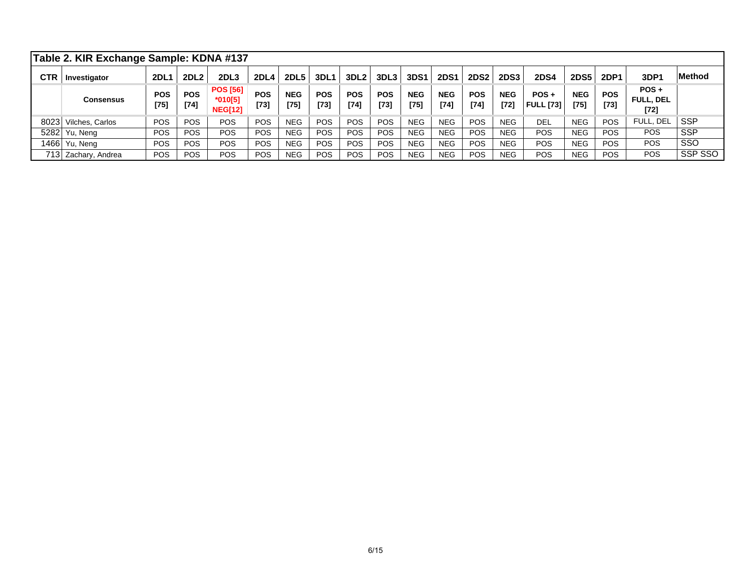|            | Table 2. KIR Exchange Sample: KDNA #137 |                      |                      |                                                |                      |                      |                      |                      |                      |                      |                      |                      |                      |                             |                      |                      |                                       |               |
|------------|-----------------------------------------|----------------------|----------------------|------------------------------------------------|----------------------|----------------------|----------------------|----------------------|----------------------|----------------------|----------------------|----------------------|----------------------|-----------------------------|----------------------|----------------------|---------------------------------------|---------------|
| <b>CTR</b> | Investigator                            | 2DL1                 | 2DL <sub>2</sub>     | 2DL <sub>3</sub>                               | 2DL4                 | 2DL <sub>5</sub>     | 3DL1                 | 3DL <sub>2</sub>     | 3DL <sub>3</sub>     | 3DS1                 | <b>2DS1</b>          | <b>2DS2</b>          | <b>2DS3</b>          | <b>2DS4</b>                 | 2DS5                 | 2DP1                 | 3DP1                                  | <b>Method</b> |
|            | Consensus                               | <b>POS</b><br>$[75]$ | <b>POS</b><br>$[74]$ | <b>POS [56]</b><br>$*010[5]$<br><b>NEG[12]</b> | <b>POS</b><br>$[73]$ | <b>NEG</b><br>$[75]$ | <b>POS</b><br>$[73]$ | <b>POS</b><br>$[74]$ | <b>POS</b><br>$[73]$ | <b>NEG</b><br>$[75]$ | <b>NEG</b><br>$[74]$ | <b>POS</b><br>$[74]$ | <b>NEG</b><br>$[72]$ | $POS +$<br><b>FULL [73]</b> | <b>NEG</b><br>$[75]$ | <b>POS</b><br>$[73]$ | $POS +$<br><b>FULL, DEL</b><br>$[72]$ |               |
| 8023       | Vilches, Carlos                         | <b>POS</b>           | POS.                 | <b>POS</b>                                     | <b>POS</b>           | <b>NEG</b>           | <b>POS</b>           | <b>POS</b>           | <b>POS</b>           | <b>NEG</b>           | <b>NEG</b>           | <b>POS</b>           | <b>NEG</b>           | <b>DEL</b>                  | <b>NEG</b>           | <b>POS</b>           | FULL, DEL                             | <b>SSP</b>    |
| 5282       | Yu, Neng                                | POS                  | <b>POS</b>           | <b>POS</b>                                     | <b>POS</b>           | <b>NEG</b>           | POS                  | <b>POS</b>           | <b>POS</b>           | <b>NEG</b>           | <b>NEG</b>           | <b>POS</b>           | <b>NEG</b>           | <b>POS</b>                  | <b>NEG</b>           | <b>POS</b>           | <b>POS</b>                            | <b>SSP</b>    |
|            | 1466   Yu, Neng                         | POS                  | <b>POS</b>           | <b>POS</b>                                     | <b>POS</b>           | <b>NEG</b>           | POS                  | <b>POS</b>           | <b>POS</b>           | <b>NEG</b>           | <b>NEG</b>           | <b>POS</b>           | <b>NEG</b>           | <b>POS</b>                  | <b>NEG</b>           | <b>POS</b>           | <b>POS</b>                            | <b>SSO</b>    |
|            | 713 Zachary, Andrea                     | POS                  | <b>POS</b>           | POS                                            | <b>POS</b>           | <b>NEG</b>           | <b>POS</b>           | <b>POS</b>           | <b>POS</b>           | <b>NEG</b>           | NEG                  | <b>POS</b>           | <b>NEG</b>           | <b>POS</b>                  | <b>NEG</b>           | <b>POS</b>           | POS                                   | SSP SSO       |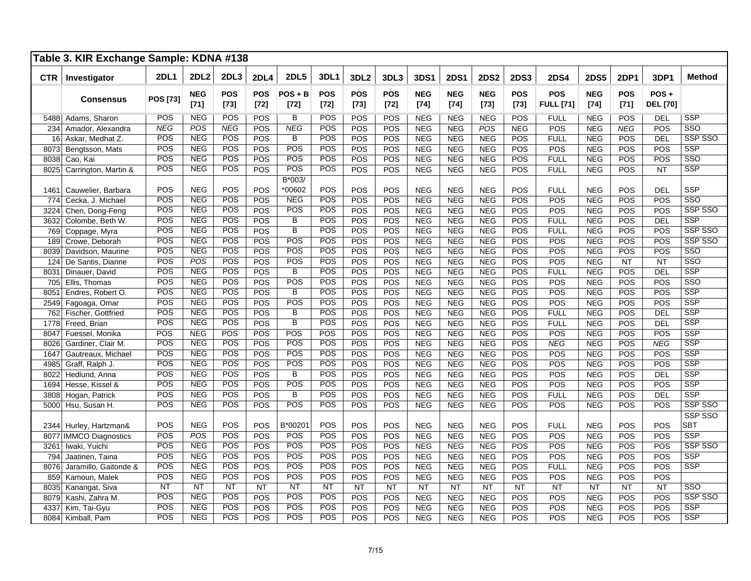|            | Table 3. KIR Exchange Sample: KDNA #138 |             |                      |               |               |                         |               |                      |                      |                      |                      |                      |               |                                |                      |                      |                         |                       |
|------------|-----------------------------------------|-------------|----------------------|---------------|---------------|-------------------------|---------------|----------------------|----------------------|----------------------|----------------------|----------------------|---------------|--------------------------------|----------------------|----------------------|-------------------------|-----------------------|
| <b>CTR</b> | Investigator                            | <b>2DL1</b> | <b>2DL2</b>          | 2DL3          | 2DL4          | <b>2DL5</b>             | 3DL1          | 3DL2                 | 3DL3                 | 3DS1                 | <b>2DS1</b>          | <b>2DS2</b>          | <b>2DS3</b>   | <b>2DS4</b>                    | <b>2DS5</b>          | <b>2DP1</b>          | 3DP1                    | <b>Method</b>         |
|            | <b>Consensus</b>                        | POS [73]    | <b>NEG</b><br>$[71]$ | POS<br>$[73]$ | POS<br>$[72]$ | $POS + B$<br>$[72]$     | POS<br>$[72]$ | <b>POS</b><br>$[73]$ | <b>POS</b><br>$[72]$ | <b>NEG</b><br>$[74]$ | <b>NEG</b><br>$[74]$ | <b>NEG</b><br>$[73]$ | POS<br>$[73]$ | <b>POS</b><br><b>FULL</b> [71] | <b>NEG</b><br>$[74]$ | <b>POS</b><br>$[71]$ | POS+<br><b>DEL</b> [70] |                       |
|            | 5488 Adams, Sharon                      | POS         | <b>NEG</b>           | POS           | <b>POS</b>    | B                       | POS           | POS                  | POS                  | <b>NEG</b>           | <b>NEG</b>           | <b>NEG</b>           | <b>POS</b>    | <b>FULL</b>                    | <b>NEG</b>           | POS                  | <b>DEL</b>              | <b>SSP</b>            |
| 234        | Amador, Alexandra                       | <b>NEG</b>  | POS                  | <b>NEG</b>    | POS           | <b>NEG</b>              | POS           | POS                  | POS                  | <b>NEG</b>           | <b>NEG</b>           | POS                  | <b>NEG</b>    | POS                            | <b>NEG</b>           | <b>NEG</b>           | POS                     | SSO                   |
|            | 16 Askar, Medhat Z.                     | POS         | <b>NEG</b>           | POS           | POS           | B                       | POS           | POS                  | POS                  | <b>NEG</b>           | <b>NEG</b>           | <b>NEG</b>           | POS           | <b>FULL</b>                    | <b>NEG</b>           | POS                  | DEL                     | SSP SSO               |
| 8073       | Bengtsson, Mats                         | POS         | <b>NEG</b>           | POS           | POS           | POS                     | POS           | POS                  | POS                  | <b>NEG</b>           | <b>NEG</b>           | <b>NEG</b>           | POS           | POS                            | <b>NEG</b>           | POS                  | POS                     | <b>SSP</b>            |
| 8038       | Cao, Kai                                | POS         | <b>NEG</b>           | POS           | POS           | POS                     | POS           | POS                  | POS                  | <b>NEG</b>           | <b>NEG</b>           | <b>NEG</b>           | POS           | <b>FULL</b>                    | <b>NEG</b>           | POS                  | POS                     | SSO                   |
| 8025       | Carrington, Martin &                    | POS         | <b>NEG</b>           | POS           | POS           | <b>POS</b>              | POS           | POS                  | POS                  | <b>NEG</b>           | <b>NEG</b>           | <b>NEG</b>           | POS           | <b>FULL</b>                    | <b>NEG</b>           | POS                  | <b>NT</b>               | <b>SSP</b>            |
| 1461       | Cauwelier, Barbara                      | POS         | <b>NEG</b>           | POS           | POS           | B*003/<br>*00602        | POS           | POS                  | POS                  | <b>NEG</b>           | <b>NEG</b>           | <b>NEG</b>           | POS           | <b>FULL</b>                    | <b>NEG</b>           | POS                  | <b>DEL</b>              | <b>SSP</b>            |
| 774        | Cecka, J. Michael                       | POS         | <b>NEG</b>           | POS           | POS           | <b>NEG</b>              | POS           | POS                  | POS                  | <b>NEG</b>           | <b>NEG</b>           | <b>NEG</b>           | POS           | POS                            | <b>NEG</b>           | POS                  | POS                     | SSO                   |
| 3224       | Chen, Dong-Feng                         | POS         | <b>NEG</b>           | POS           | POS           | POS                     | POS           | POS                  | POS                  | <b>NEG</b>           | <b>NEG</b>           | <b>NEG</b>           | POS           | POS                            | <b>NEG</b>           | POS                  | POS                     | SSP SSO               |
| 3632       | Colombe, Beth W.                        | POS         | <b>NEG</b>           | POS           | POS           | B                       | POS           | POS                  | POS                  | <b>NEG</b>           | <b>NEG</b>           | <b>NEG</b>           | POS           | <b>FULL</b>                    | <b>NEG</b>           | POS                  | <b>DEL</b>              | <b>SSP</b>            |
|            | 769 Coppage, Myra                       | POS         | <b>NEG</b>           | POS           | POS           | $\overline{\mathsf{B}}$ | POS           | POS                  | POS                  | <b>NEG</b>           | <b>NEG</b>           | <b>NEG</b>           | POS           | <b>FULL</b>                    | <b>NEG</b>           | POS                  | POS                     | SSP SSO               |
| 189        | Crowe, Deborah                          | POS         | <b>NEG</b>           | POS           | POS           | <b>POS</b>              | POS           | POS                  | POS                  | <b>NEG</b>           | <b>NEG</b>           | <b>NEG</b>           | POS           | POS                            | <b>NEG</b>           | POS                  | POS                     | SSP SSO               |
| 8039       | Davidson, Maurine                       | POS         | <b>NEG</b>           | POS           | POS           | POS                     | POS           | <b>POS</b>           | POS                  | <b>NEG</b>           | <b>NEG</b>           | <b>NEG</b>           | POS           | POS                            | <b>NEG</b>           | POS                  | POS                     | SSO                   |
| 124        | De Santis, Dianne                       | POS         | POS                  | POS           | POS           | <b>POS</b>              | POS           | POS                  | POS                  | <b>NEG</b>           | <b>NEG</b>           | <b>NEG</b>           | POS           | POS                            | <b>NEG</b>           | NT                   | NT                      | SSO                   |
| 8031       | Dinauer, David                          | POS         | <b>NEG</b>           | POS           | POS           | $\overline{B}$          | POS           | POS                  | POS                  | <b>NEG</b>           | <b>NEG</b>           | <b>NEG</b>           | POS           | <b>FULL</b>                    | <b>NEG</b>           | POS                  | DEL                     | <b>SSP</b>            |
| 705        | Ellis, Thomas                           | POS         | <b>NEG</b>           | POS           | POS           | POS                     | POS           | POS                  | POS                  | <b>NEG</b>           | NEG                  | <b>NEG</b>           | POS           | POS                            | <b>NEG</b>           | POS                  | POS                     | SSO                   |
| 8051       | Endres, Robert O.                       | POS         | <b>NEG</b>           | POS           | POS           | $\overline{\mathsf{B}}$ | POS           | POS                  | POS                  | <b>NEG</b>           | NEG                  | <b>NEG</b>           | POS           | POS                            | <b>NEG</b>           | POS                  | POS                     | <b>SSP</b>            |
| 2549       | Fagoaga, Omar                           | POS         | <b>NEG</b>           | POS           | POS           | POS                     | POS           | POS                  | POS                  | <b>NEG</b>           | <b>NEG</b>           | <b>NEG</b>           | POS           | POS                            | <b>NEG</b>           | POS                  | POS                     | SSP                   |
|            | 762 Fischer, Gottfried                  | POS         | <b>NEG</b>           | POS           | POS           | B                       | POS           | POS                  | POS                  | <b>NEG</b>           | <b>NEG</b>           | <b>NEG</b>           | POS           | <b>FULL</b>                    | <b>NEG</b>           | POS                  | <b>DEL</b>              | <b>SSP</b>            |
| 1778       | Freed, Brian                            | POS         | <b>NEG</b>           | POS           | POS           | $\overline{\mathsf{B}}$ | POS           | POS                  | POS                  | <b>NEG</b>           | <b>NEG</b>           | <b>NEG</b>           | POS           | <b>FULL</b>                    | <b>NEG</b>           | POS                  | <b>DEL</b>              | <b>SSP</b>            |
| 8047       | Fuessel, Monika                         | POS         | <b>NEG</b>           | POS           | POS           | POS                     | POS           | POS                  | POS                  | <b>NEG</b>           | <b>NEG</b>           | <b>NEG</b>           | POS           | POS                            | <b>NEG</b>           | POS                  | POS                     | <b>SSP</b>            |
| 8026       | Gardiner, Clair M.                      | POS         | <b>NEG</b>           | POS           | POS           | POS                     | POS           | POS                  | POS                  | <b>NEG</b>           | <b>NEG</b>           | <b>NEG</b>           | POS           | <b>NEG</b>                     | <b>NEG</b>           | POS                  | <b>NEG</b>              | SSP                   |
| 1647       | Gautreaux, Michael                      | POS         | <b>NEG</b>           | POS           | POS           | POS                     | POS           | POS                  | POS                  | <b>NEG</b>           | <b>NEG</b>           | <b>NEG</b>           | POS           | POS                            | <b>NEG</b>           | POS                  | POS                     | SSP                   |
| 4985       | Graff, Ralph J.                         | POS         | <b>NEG</b>           | POS           | POS           | <b>POS</b>              | POS           | POS                  | POS                  | <b>NEG</b>           | <b>NEG</b>           | <b>NEG</b>           | POS           | POS                            | <b>NEG</b>           | POS                  | POS                     | <b>SSP</b>            |
| 8022       | Hedlund, Anna                           | POS         | <b>NEG</b>           | POS           | POS           | $\overline{B}$          | POS           | POS                  | POS                  | <b>NEG</b>           | <b>NEG</b>           | <b>NEG</b>           | POS           | POS                            | <b>NEG</b>           | POS                  | DEL                     | <b>SSP</b>            |
| 1694       | Hesse, Kissel &                         | POS         | <b>NEG</b>           | POS           | POS           | POS                     | POS           | POS                  | POS                  | <b>NEG</b>           | <b>NEG</b>           | <b>NEG</b>           | POS           | POS                            | <b>NEG</b>           | POS                  | POS                     | <b>SSP</b>            |
| 3808       | Hogan, Patrick                          | POS         | <b>NEG</b>           | POS           | POS           | $\overline{B}$          | POS           | POS                  | POS                  | <b>NEG</b>           | <b>NEG</b>           | <b>NEG</b>           | POS           | <b>FULL</b>                    | <b>NEG</b>           | POS                  | <b>DEL</b>              | <b>SSP</b>            |
|            | 5000 Hsu, Susan H.                      | POS         | <b>NEG</b>           | POS           | POS           | POS                     | POS           | POS                  | POS                  | <b>NEG</b>           | <b>NEG</b>           | <b>NEG</b>           | POS           | POS                            | <b>NEG</b>           | POS                  | POS                     | SSP SSO               |
|            | 2344 Hurley, Hartzman&                  | POS         | <b>NEG</b>           | POS           | POS           | B*00201                 | POS           | POS                  | POS                  | <b>NEG</b>           | <b>NEG</b>           | <b>NEG</b>           | POS           | <b>FULL</b>                    | <b>NEG</b>           | POS                  | POS                     | SSP SSO<br><b>SBT</b> |
|            | 8077 IMMCO Diagnostics                  | POS         | POS                  | POS           | POS           | <b>POS</b>              | POS           | POS                  | POS                  | <b>NEG</b>           | <b>NEG</b>           | <b>NEG</b>           | POS           | POS                            | <b>NEG</b>           | POS                  | POS                     | <b>SSP</b>            |
| 3261       | Iwaki, Yuichi                           | POS         | <b>NEG</b>           | POS           | POS           | <b>POS</b>              | POS           | POS                  | POS                  | <b>NEG</b>           | <b>NEG</b>           | <b>NEG</b>           | POS           | POS                            | <b>NEG</b>           | POS                  | POS                     | SSP SSO               |
| 794        | Jaatinen, Taina                         | POS         | <b>NEG</b>           | POS           | POS           | <b>POS</b>              | POS           | POS                  | POS                  | <b>NEG</b>           | <b>NEG</b>           | <b>NEG</b>           | POS           | POS                            | <b>NEG</b>           | POS                  | POS                     | <b>SSP</b>            |
| 8076       | Jaramillo, Gaitonde &                   | POS         | <b>NEG</b>           | POS           | POS           | POS                     | POS           | POS                  | POS                  | <b>NEG</b>           | <b>NEG</b>           | <b>NEG</b>           | POS           | <b>FULL</b>                    | <b>NEG</b>           | POS                  | POS                     | <b>SSP</b>            |
| 859        | Kamoun, Malek                           | POS         | <b>NEG</b>           | POS           | POS           | POS                     | POS           | POS                  | POS                  | <b>NEG</b>           | <b>NEG</b>           | <b>NEG</b>           | POS           | POS                            | <b>NEG</b>           | POS                  | POS                     |                       |
| 8035       | Kanangat, Siva                          | <b>NT</b>   | <b>NT</b>            | <b>NT</b>     | <b>NT</b>     | <b>NT</b>               | <b>NT</b>     | <b>NT</b>            | <b>NT</b>            | <b>NT</b>            | <b>NT</b>            | <b>NT</b>            | <b>NT</b>     | <b>NT</b>                      | <b>NT</b>            | NT                   | NT                      | SSO                   |
| 8079       | Kashi, Zahra M.                         | POS         | <b>NEG</b>           | POS           | POS           | <b>POS</b>              | POS           | POS                  | POS                  | <b>NEG</b>           | <b>NEG</b>           | <b>NEG</b>           | POS           | POS                            | <b>NEG</b>           | POS                  | POS                     | SSP SSO               |
| 4337       | Kim, Tai-Gyu                            | POS         | <b>NEG</b>           | POS           | POS           | POS                     | POS           | POS                  | POS                  | <b>NEG</b>           | <b>NEG</b>           | <b>NEG</b>           | POS           | POS                            | <b>NEG</b>           | POS                  | POS                     | <b>SSP</b>            |
|            | 8084 Kimball, Pam                       | POS         | <b>NEG</b>           | POS           | POS           | POS                     | POS           | POS                  | POS                  | <b>NEG</b>           | <b>NEG</b>           | <b>NEG</b>           | POS           | POS                            | <b>NEG</b>           | POS                  | POS                     | <b>SSP</b>            |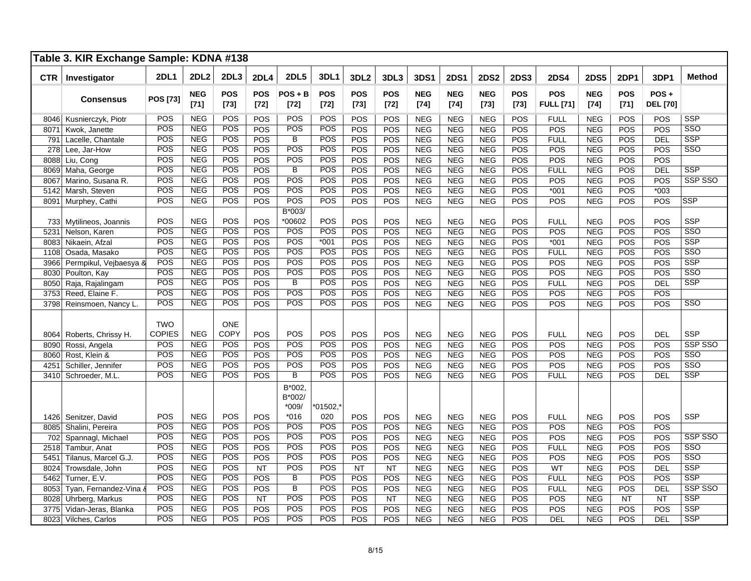|      | Table 3. KIR Exchange Sample: KDNA #138 |                   |                          |                      |                      |                                       |                      |                         |                      |                          |                          |                          |                      |                                |                          |                      |                            |                       |
|------|-----------------------------------------|-------------------|--------------------------|----------------------|----------------------|---------------------------------------|----------------------|-------------------------|----------------------|--------------------------|--------------------------|--------------------------|----------------------|--------------------------------|--------------------------|----------------------|----------------------------|-----------------------|
| CTR  | Investigator                            | <b>2DL1</b>       | <b>2DL2</b>              | 2DL3                 | <b>2DL4</b>          | <b>2DL5</b>                           | 3DL1                 | 3DL <sub>2</sub>        | 3DL3                 | 3DS1                     | <b>2DS1</b>              | <b>2DS2</b>              | <b>2DS3</b>          | <b>2DS4</b>                    | <b>2DS5</b>              | <b>2DP1</b>          | 3DP1                       | <b>Method</b>         |
|      | <b>Consensus</b>                        | POS [73]          | <b>NEG</b><br>$[71]$     | <b>POS</b><br>$[73]$ | <b>POS</b><br>$[72]$ | $POS + B$<br>$[72]$                   | <b>POS</b><br>$[72]$ | <b>POS</b><br>$[73]$    | <b>POS</b><br>$[72]$ | <b>NEG</b><br>$[74]$     | <b>NEG</b><br>$[74]$     | <b>NEG</b><br>$[73]$     | <b>POS</b><br>$[73]$ | <b>POS</b><br><b>FULL [71]</b> | <b>NEG</b><br>$[74]$     | <b>POS</b><br>$[71]$ | $POS +$<br><b>DEL [70]</b> |                       |
|      | 8046 Kusnierczyk, Piotr                 | POS               | <b>NEG</b>               | POS                  | POS                  | POS                                   | POS                  | POS                     | POS                  | <b>NEG</b>               | <b>NEG</b>               | <b>NEG</b>               | POS                  | <b>FULL</b>                    | <b>NEG</b>               | POS                  | POS                        | <b>SSP</b>            |
| 8071 | Kwok, Janette                           | POS               | <b>NEG</b>               | POS                  | POS                  | POS                                   | POS                  | POS                     | POS                  | <b>NEG</b>               | <b>NEG</b>               | <b>NEG</b>               | POS                  | POS                            | <b>NEG</b>               | POS                  | POS                        | SSO                   |
| 791  | Lacelle, Chantale                       | POS               | <b>NEG</b>               | POS                  | POS                  | $\overline{B}$                        | POS                  | <b>POS</b>              | POS                  | <b>NEG</b>               | <b>NEG</b>               | <b>NEG</b>               | POS                  | <b>FULL</b>                    | <b>NEG</b>               | POS                  | DEL                        | <b>SSP</b>            |
| 278  | Lee, Jar-How                            | POS               | <b>NEG</b>               | POS                  | POS                  | POS                                   | POS                  | <b>POS</b>              | POS                  | <b>NEG</b>               | <b>NEG</b>               | <b>NEG</b>               | POS                  | POS                            | <b>NEG</b>               | POS                  | POS                        | SSO                   |
| 8088 | Liu, Cong                               | POS               | <b>NEG</b>               | POS                  | POS                  | POS                                   | POS                  | POS                     | POS                  | <b>NEG</b>               | <b>NEG</b>               | <b>NEG</b>               | POS                  | POS                            | <b>NEG</b>               | POS                  | POS                        |                       |
| 8069 | Maha, George                            | POS               | <b>NEG</b>               | POS                  | POS                  | $\overline{B}$                        | POS                  | POS                     | POS                  | <b>NEG</b>               | <b>NEG</b>               | <b>NEG</b>               | POS                  | <b>FULL</b>                    | <b>NEG</b>               | POS                  | <b>DEL</b>                 | <b>SSP</b>            |
| 8067 | Marino, Susana R.                       | POS               | <b>NEG</b>               | POS                  | POS                  | POS                                   | POS                  | POS                     | POS                  | <b>NEG</b>               | <b>NEG</b>               | <b>NEG</b>               | POS                  | POS                            | <b>NEG</b>               | POS                  | POS                        | SSP SSO               |
| 5142 | Marsh, Steven                           | POS               | <b>NEG</b>               | POS                  | <b>POS</b>           | POS                                   | POS                  | POS                     | POS                  | <b>NEG</b>               | <b>NEG</b>               | <b>NEG</b>               | POS                  | $*001$                         | <b>NEG</b>               | POS                  | $*003$                     |                       |
| 8091 | Murphey, Cathi                          | POS               | <b>NEG</b>               | POS                  | POS                  | POS                                   | POS                  | POS                     | POS                  | <b>NEG</b>               | <b>NEG</b>               | <b>NEG</b>               | POS                  | POS                            | <b>NEG</b>               | POS                  | POS                        | <b>SSP</b>            |
|      |                                         |                   |                          |                      |                      | B*003/                                |                      |                         |                      |                          |                          |                          |                      |                                |                          |                      |                            |                       |
|      | 733 Mytilineos, Joannis                 | POS               | <b>NEG</b>               | POS                  | POS                  | *00602                                | POS                  | POS                     | POS                  | <b>NEG</b>               | <b>NEG</b>               | <b>NEG</b>               | POS                  | <b>FULL</b>                    | <b>NEG</b>               | POS                  | POS                        | <b>SSP</b>            |
| 5231 | Nelson, Karen                           | POS               | <b>NEG</b>               | POS                  | POS                  | POS                                   | POS                  | POS                     | POS                  | <b>NEG</b>               | <b>NEG</b>               | <b>NEG</b>               | POS                  | POS                            | <b>NEG</b>               | POS                  | POS                        | SSO                   |
| 8083 | Nikaein, Afzal                          | POS               | NEG                      | POS                  | <b>POS</b>           | POS                                   | $*001$               | POS                     | POS                  | <b>NEG</b>               | <b>NEG</b>               | <b>NEG</b>               | POS                  | $*001$                         | <b>NEG</b>               | POS                  | POS                        | <b>SSP</b>            |
| 1108 | Osada, Masako                           | POS               | <b>NEG</b>               | POS                  | POS                  | POS                                   | POS                  | POS                     | POS                  | <b>NEG</b>               | <b>NEG</b>               | <b>NEG</b>               | POS                  | <b>FULL</b>                    | <b>NEG</b>               | POS                  | POS                        | SSO                   |
| 3966 | Permpikul, Vejbaesya &                  | $\overline{POS}$  | <b>NEG</b>               | POS                  | POS                  | POS                                   | POS                  | POS                     | POS                  | <b>NEG</b>               | <b>NEG</b>               | <b>NEG</b>               | POS                  | POS                            | <b>NEG</b>               | POS                  | POS                        | <b>SSP</b>            |
| 8030 | Poulton, Kay                            | POS               | <b>NEG</b>               | POS                  | POS                  | POS                                   | POS                  | POS                     | POS                  | <b>NEG</b>               | <b>NEG</b>               | <b>NEG</b>               | POS                  | POS                            | <b>NEG</b>               | POS                  | POS                        | SSO                   |
| 8050 | Raja, Rajalingam                        | POS               | <b>NEG</b>               | POS                  | POS                  | $\overline{B}$                        | POS                  | POS                     | POS                  | <b>NEG</b>               | <b>NEG</b>               | <b>NEG</b>               | POS                  | <b>FULL</b>                    | <b>NEG</b>               | POS                  | <b>DEL</b>                 | <b>SSP</b>            |
| 3753 | Reed, Elaine F.                         | <b>POS</b>        | <b>NEG</b>               | POS                  | POS                  | <b>POS</b>                            | POS                  | POS                     | POS                  | <b>NEG</b>               | <b>NEG</b>               | <b>NEG</b>               | POS                  | POS                            | <b>NEG</b>               | POS                  | POS                        |                       |
| 3798 | Reinsmoen, Nancy L.                     | POS               | <b>NEG</b>               | POS                  | POS                  | POS                                   | POS                  | POS                     | POS                  | <b>NEG</b>               | <b>NEG</b>               | <b>NEG</b>               | POS                  | POS                            | <b>NEG</b>               | POS                  | POS                        | SSO                   |
|      |                                         | <b>TWO</b>        |                          | ONE                  |                      |                                       |                      |                         |                      |                          |                          |                          |                      |                                |                          |                      |                            |                       |
| 8064 | Roberts, Chrissy H.                     | COPIES            | <b>NEG</b>               | <b>COPY</b><br>POS   | POS                  | POS<br>POS                            | POS<br>POS           | POS                     | POS                  | <b>NEG</b>               | <b>NEG</b>               | <b>NEG</b>               | POS                  | <b>FULL</b>                    | <b>NEG</b>               | POS                  | <b>DEL</b>                 | <b>SSP</b><br>SSP SSO |
| 8090 | Rossi, Angela                           | POS<br>POS        | <b>NEG</b><br><b>NEG</b> | POS                  | POS                  | POS                                   | POS                  | POS                     | POS                  | <b>NEG</b>               | <b>NEG</b>               | <b>NEG</b>               | POS                  | POS                            | <b>NEG</b>               | POS                  | POS                        | SSO                   |
| 8060 | Rost, Klein &                           |                   |                          | POS                  | POS                  | POS                                   |                      | POS                     | POS                  | <b>NEG</b>               | <b>NEG</b>               | <b>NEG</b>               | POS                  | POS                            | <b>NEG</b>               | POS                  | POS                        |                       |
| 4251 | Schiller, Jennifer                      | POS<br><b>POS</b> | <b>NEG</b><br><b>NEG</b> | <b>POS</b>           | POS                  | $\overline{B}$                        | POS<br><b>POS</b>    | POS                     | POS                  | <b>NEG</b>               | <b>NEG</b>               | <b>NEG</b>               | POS                  | POS                            | <b>NEG</b>               | POS                  | POS                        | SSO<br><b>SSP</b>     |
| 3410 | Schroeder, M.L.                         |                   |                          |                      | <b>POS</b>           |                                       |                      | <b>POS</b>              | POS                  | <b>NEG</b>               | <b>NEG</b>               | <b>NEG</b>               | POS                  | <b>FULL</b>                    | <b>NEG</b>               | POS                  | <b>DEL</b>                 |                       |
|      |                                         | POS               | <b>NEG</b>               | POS                  | POS                  | B*002,<br>B*002/<br>$*009/$<br>$*016$ | $*01502,*$<br>020    | POS                     | POS                  | <b>NEG</b>               | <b>NEG</b>               | <b>NEG</b>               | POS                  | <b>FULL</b>                    | <b>NEG</b>               | POS                  | <b>POS</b>                 | <b>SSP</b>            |
|      | 1426 Senitzer, David                    | POS               | <b>NEG</b>               | <b>POS</b>           | <b>POS</b>           | <b>POS</b>                            | POS                  | <b>POS</b>              | POS                  | <b>NEG</b>               | <b>NEG</b>               | <b>NEG</b>               | POS                  | POS                            | <b>NEG</b>               | POS                  | POS                        |                       |
| 8085 | Shalini, Pereira                        | POS               | <b>NEG</b>               | POS                  | POS                  | POS                                   | POS                  | POS                     | POS                  |                          | <b>NEG</b>               | <b>NEG</b>               | POS                  | POS                            | <b>NEG</b>               | POS                  | POS                        | SSP SSO               |
| 702  | Spannagl, Michael                       | POS               | <b>NEG</b>               | POS                  |                      | POS                                   | POS                  |                         |                      | <b>NEG</b>               |                          |                          |                      |                                |                          |                      |                            | SSO                   |
| 2518 | Tambur, Anat                            | POS               | <b>NEG</b>               | POS                  | POS                  | POS                                   | POS                  | POS                     | POS                  | <b>NEG</b>               | <b>NEG</b>               | <b>NEG</b>               | POS                  | <b>FULL</b><br>POS             | <b>NEG</b>               | POS                  | POS<br>POS                 | SSO                   |
| 5451 | Tilanus, Marcel G.J.                    | POS               | <b>NEG</b>               | POS                  | POS<br><b>NT</b>     | POS                                   | POS                  | <b>POS</b><br><b>NT</b> | POS<br><b>NT</b>     | <b>NEG</b><br><b>NEG</b> | <b>NEG</b><br><b>NEG</b> | <b>NEG</b><br><b>NEG</b> | POS<br>POS           | WT                             | <b>NEG</b><br><b>NEG</b> | POS<br>POS           | DEL                        | <b>SSP</b>            |
| 8024 | Trowsdale, John                         | POS               | <b>NEG</b>               | POS                  | POS                  | $\overline{B}$                        | POS                  |                         |                      |                          |                          | <b>NEG</b>               |                      |                                |                          |                      | POS                        | <b>SSP</b>            |
| 5462 | Turner, E.V.                            | POS               | <b>NEG</b>               | POS                  | POS                  | $\overline{B}$                        | POS                  | POS<br>POS              | POS<br>POS           | <b>NEG</b><br><b>NEG</b> | <b>NEG</b><br><b>NEG</b> |                          | POS<br>POS           | <b>FULL</b>                    | <b>NEG</b><br><b>NEG</b> | POS<br>POS           |                            | SSP SSO               |
| 8053 | Tyan, Fernandez-Vina &                  | POS               | <b>NEG</b>               | POS                  |                      | <b>POS</b>                            | POS                  | POS                     |                      |                          |                          | <b>NEG</b>               |                      | <b>FULL</b><br>POS             |                          |                      | <b>DEL</b>                 | <b>SSP</b>            |
| 8028 | Uhrberg, Markus                         | POS               | <b>NEG</b>               | POS                  | <b>NT</b><br>POS     | POS                                   | POS                  | POS                     | <b>NT</b><br>POS     | <b>NEG</b><br><b>NEG</b> | <b>NEG</b><br><b>NEG</b> | <b>NEG</b><br><b>NEG</b> | POS<br>POS           | POS                            | <b>NEG</b>               | <b>NT</b><br>POS     | <b>NT</b><br>POS           | <b>SSP</b>            |
| 3775 | Vidan-Jeras, Blanka                     | POS               | <b>NEG</b>               | POS                  |                      | POS                                   | POS                  |                         |                      |                          |                          |                          |                      |                                | <b>NEG</b>               |                      |                            | <b>SSP</b>            |
|      | 8023 Vilches, Carlos                    |                   |                          |                      | POS                  |                                       |                      | POS                     | POS                  | <b>NEG</b>               | <b>NEG</b>               | <b>NEG</b>               | POS                  | <b>DEL</b>                     | <b>NEG</b>               | POS                  | <b>DEL</b>                 |                       |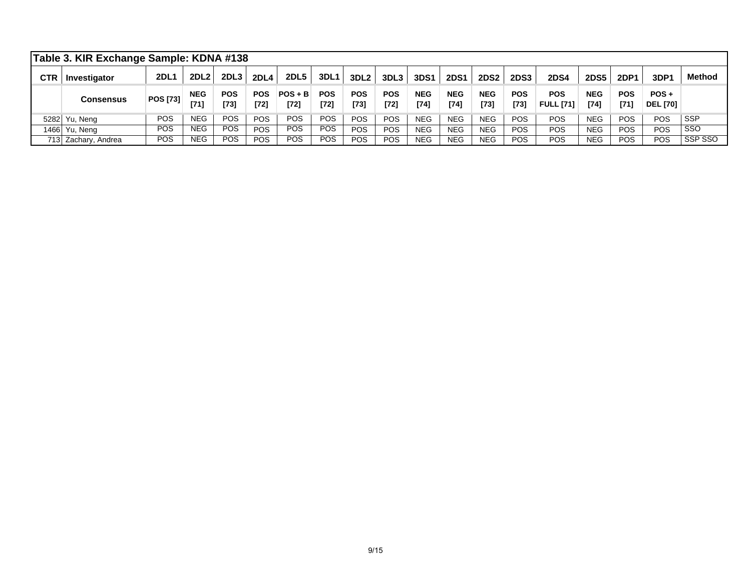|            | Table 3. KIR Exchange Sample: KDNA #138 |                 |                      |                    |                      |                     |                      |                      |                      |                      |                      |                      |                      |                                |                    |                    |                            |               |
|------------|-----------------------------------------|-----------------|----------------------|--------------------|----------------------|---------------------|----------------------|----------------------|----------------------|----------------------|----------------------|----------------------|----------------------|--------------------------------|--------------------|--------------------|----------------------------|---------------|
| <b>CTR</b> | Investigator                            | <b>2DL1</b>     | 2DL <sub>2</sub>     | 2DL <sub>3</sub>   | <b>2DL4</b>          | <b>2DL5</b>         | 3DL1                 | 3DL <sub>2</sub>     | 3DL3                 | 3DS1                 | <b>2DS1</b>          | <b>2DS2</b>          | <b>2DS3</b>          | <b>2DS4</b>                    | <b>2DS5</b>        | <b>2DP1</b>        | 3DP1                       | <b>Method</b> |
|            | Consensus                               | <b>POS [73]</b> | <b>NEG</b><br>$[71]$ | <b>POS</b><br>[73] | <b>POS</b><br>$[72]$ | $POS + B$<br>$[72]$ | <b>POS</b><br>$[72]$ | <b>POS</b><br>$[73]$ | <b>POS</b><br>$[72]$ | <b>NEG</b><br>$[74]$ | <b>NEG</b><br>$[74]$ | <b>NEG</b><br>$[73]$ | <b>POS</b><br>$[73]$ | <b>POS</b><br><b>FULL [71]</b> | <b>NEG</b><br>[74] | <b>POS</b><br>[71] | $POS +$<br><b>DEL [70]</b> |               |
|            | 5282 Yu, Neng                           | <b>POS</b>      | NEG.                 | POS                | <b>POS</b>           | <b>POS</b>          | <b>POS</b>           | <b>POS</b>           | <b>POS</b>           | <b>NEG</b>           | <b>NEG</b>           | <b>NEG</b>           | <b>POS</b>           | <b>POS</b>                     | <b>NEG</b>         | <b>POS</b>         | <b>POS</b>                 | <b>SSP</b>    |
|            | 1466 Yu, Neng                           | POS             | NEG.                 | <b>POS</b>         | <b>POS</b>           | <b>POS</b>          | <b>POS</b>           | <b>POS</b>           | <b>POS</b>           | <b>NEG</b>           | <b>NEG</b>           | <b>NEG</b>           | <b>POS</b>           | POS                            | <b>NEG</b>         | <b>POS</b>         | <b>POS</b>                 | SSO           |
|            | 713 Zachary, Andrea                     | POS             | <b>NEG</b>           | POS                | POS                  | <b>POS</b>          | <b>POS</b>           | <b>POS</b>           | <b>POS</b>           | <b>NEG</b>           | <b>NEG</b>           | <b>NEG</b>           | POS                  | POS                            | <b>NEG</b>         | <b>POS</b>         | <b>POS</b>                 | SSP SSO       |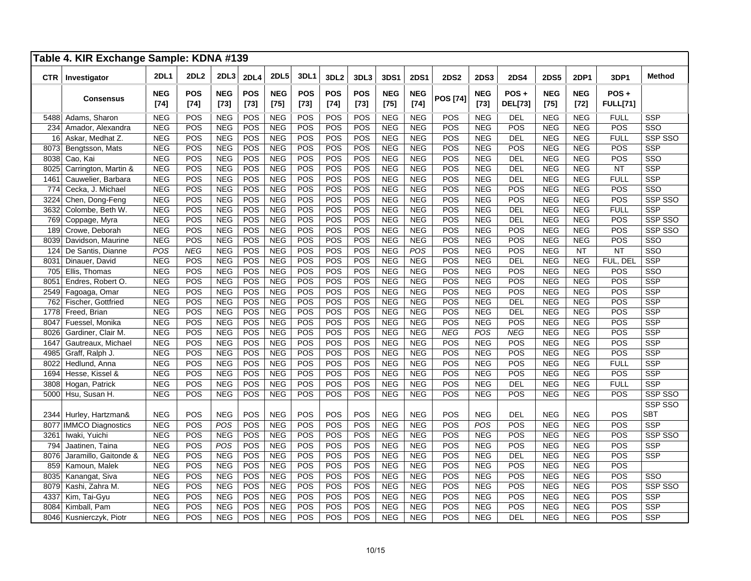|            | Table 4. KIR Exchange Sample: KDNA #139 |                      |                      |                      |                      |                      |                      |                      |               |                      |                      |                 |                      |                        |                      |                      |                         |                |
|------------|-----------------------------------------|----------------------|----------------------|----------------------|----------------------|----------------------|----------------------|----------------------|---------------|----------------------|----------------------|-----------------|----------------------|------------------------|----------------------|----------------------|-------------------------|----------------|
| <b>CTR</b> | Investigator                            | <b>2DL1</b>          | 2DL <sub>2</sub>     | 2DL3                 | <b>2DL4</b>          | <b>2DL5</b>          | <b>3DL1</b>          | 3DL <sub>2</sub>     | 3DL3          | 3DS1                 | <b>2DS1</b>          | <b>2DS2</b>     | <b>2DS3</b>          | <b>2DS4</b>            | <b>2DS5</b>          | <b>2DP1</b>          | 3DP1                    | <b>Method</b>  |
|            | <b>Consensus</b>                        | <b>NEG</b><br>$[74]$ | <b>POS</b><br>$[74]$ | <b>NEG</b><br>$[73]$ | <b>POS</b><br>$[73]$ | <b>NEG</b><br>$[75]$ | <b>POS</b><br>$[73]$ | <b>POS</b><br>$[74]$ | POS<br>$[73]$ | <b>NEG</b><br>$[75]$ | <b>NEG</b><br>$[74]$ | <b>POS [74]</b> | <b>NEG</b><br>$[73]$ | POS+<br><b>DEL[73]</b> | <b>NEG</b><br>$[75]$ | <b>NEG</b><br>$[72]$ | POS+<br><b>FULL[71]</b> |                |
| 5488       | Adams, Sharon                           | <b>NEG</b>           | POS                  | <b>NEG</b>           | POS                  | <b>NEG</b>           | POS                  | POS                  | POS           | <b>NEG</b>           | <b>NEG</b>           | POS             | <b>NEG</b>           | <b>DEL</b>             | <b>NEG</b>           | <b>NEG</b>           | <b>FULL</b>             | <b>SSP</b>     |
| 234        | Amador, Alexandra                       | <b>NEG</b>           | POS                  | <b>NEG</b>           | POS                  | <b>NEG</b>           | POS                  | POS                  | POS           | <b>NEG</b>           | <b>NEG</b>           | POS             | <b>NEG</b>           | POS                    | <b>NEG</b>           | <b>NEG</b>           | POS                     | SSO            |
| 16         | Askar, Medhat Z.                        | <b>NEG</b>           | POS                  | <b>NEG</b>           | POS                  | <b>NEG</b>           | POS                  | POS                  | POS           | <b>NEG</b>           | <b>NEG</b>           | POS             | <b>NEG</b>           | <b>DEL</b>             | <b>NEG</b>           | <b>NEG</b>           | <b>FULL</b>             | SSP SSO        |
| 8073       | Bengtsson, Mats                         | <b>NEG</b>           | POS                  | <b>NEG</b>           | POS                  | <b>NEG</b>           | POS                  | POS                  | POS           | <b>NEG</b>           | <b>NEG</b>           | POS             | <b>NEG</b>           | POS                    | <b>NEG</b>           | <b>NEG</b>           | POS                     | <b>SSP</b>     |
| 8038       | Cao, Kai                                | <b>NEG</b>           | POS                  | <b>NEG</b>           | POS                  | <b>NEG</b>           | POS                  | POS                  | POS           | <b>NEG</b>           | <b>NEG</b>           | POS             | <b>NEG</b>           | <b>DEL</b>             | <b>NEG</b>           | <b>NEG</b>           | POS                     | SSO            |
| 8025       | Carrington, Martin &                    | <b>NEG</b>           | POS                  | <b>NEG</b>           | POS                  | <b>NEG</b>           | POS                  | POS                  | POS           | <b>NEG</b>           | <b>NEG</b>           | POS             | <b>NEG</b>           | <b>DEL</b>             | <b>NEG</b>           | <b>NEG</b>           | <b>NT</b>               | <b>SSP</b>     |
| 1461       | Cauwelier, Barbara                      | <b>NEG</b>           | POS                  | <b>NEG</b>           | POS                  | <b>NEG</b>           | POS                  | POS                  | POS           | <b>NEG</b>           | <b>NEG</b>           | POS             | <b>NEG</b>           | <b>DEL</b>             | <b>NEG</b>           | <b>NEG</b>           | <b>FULL</b>             | <b>SSP</b>     |
| 774        | Cecka, J. Michael                       | <b>NEG</b>           | POS                  | <b>NEG</b>           | POS                  | <b>NEG</b>           | POS                  | POS                  | POS           | <b>NEG</b>           | <b>NEG</b>           | POS             | <b>NEG</b>           | POS                    | <b>NEG</b>           | <b>NEG</b>           | POS                     | SSO            |
| 3224       | Chen, Dong-Feng                         | <b>NEG</b>           | POS                  | <b>NEG</b>           | POS                  | <b>NEG</b>           | POS                  | POS                  | POS           | <b>NEG</b>           | <b>NEG</b>           | POS             | <b>NEG</b>           | POS                    | <b>NEG</b>           | <b>NEG</b>           | POS                     | <b>SSP SSO</b> |
| 3632       | Colombe, Beth W.                        | <b>NEG</b>           | POS                  | <b>NEG</b>           | POS                  | <b>NEG</b>           | POS                  | POS                  | POS           | <b>NEG</b>           | <b>NEG</b>           | POS             | <b>NEG</b>           | <b>DEL</b>             | <b>NEG</b>           | <b>NEG</b>           | <b>FULL</b>             | <b>SSP</b>     |
| 769        | Coppage, Myra                           | <b>NEG</b>           | POS                  | <b>NEG</b>           | POS                  | <b>NEG</b>           | POS                  | POS                  | POS           | <b>NEG</b>           | <b>NEG</b>           | POS             | <b>NEG</b>           | <b>DEL</b>             | <b>NEG</b>           | <b>NEG</b>           | POS                     | SSP SSO        |
| 189        | Crowe, Deborah                          | <b>NEG</b>           | POS                  | <b>NEG</b>           | POS                  | <b>NEG</b>           | POS                  | POS                  | POS           | <b>NEG</b>           | <b>NEG</b>           | POS             | <b>NEG</b>           | POS                    | <b>NEG</b>           | <b>NEG</b>           | POS                     | SSP SSO        |
| 8039       | Davidson, Maurine                       | <b>NEG</b>           | POS                  | <b>NEG</b>           | POS                  | <b>NEG</b>           | POS                  | POS                  | POS           | <b>NEG</b>           | <b>NEG</b>           | POS             | <b>NEG</b>           | POS                    | <b>NEG</b>           | <b>NEG</b>           | POS                     | SSO            |
| 124        | De Santis, Dianne                       | POS                  | <b>NEG</b>           | <b>NEG</b>           | POS                  | <b>NEG</b>           | POS                  | POS                  | POS           | <b>NEG</b>           | POS                  | POS             | <b>NEG</b>           | POS                    | <b>NEG</b>           | <b>NT</b>            | <b>NT</b>               | SSO            |
| 803        | Dinauer, David                          | <b>NEG</b>           | POS                  | <b>NEG</b>           | POS                  | <b>NEG</b>           | POS                  | POS                  | POS           | <b>NEG</b>           | <b>NEG</b>           | POS             | <b>NEG</b>           | <b>DEL</b>             | <b>NEG</b>           | <b>NEG</b>           | FUL, DEL                | <b>SSP</b>     |
| 705        | Ellis, Thomas                           | <b>NEG</b>           | POS                  | <b>NEG</b>           | POS                  | <b>NEG</b>           | POS                  | POS                  | POS           | <b>NEG</b>           | <b>NEG</b>           | POS             | <b>NEG</b>           | POS                    | <b>NEG</b>           | <b>NEG</b>           | POS                     | SSO            |
| 805        | Endres, Robert O.                       | <b>NEG</b>           | POS                  | <b>NEG</b>           | POS                  | <b>NEG</b>           | POS                  | POS                  | POS           | <b>NEG</b>           | <b>NEG</b>           | POS             | <b>NEG</b>           | POS                    | <b>NEG</b>           | <b>NEG</b>           | POS                     | <b>SSP</b>     |
| 2549       | Fagoaga, Omar                           | <b>NEG</b>           | POS                  | <b>NEG</b>           | POS                  | <b>NEG</b>           | POS                  | POS                  | POS           | <b>NEG</b>           | <b>NEG</b>           | POS             | <b>NEG</b>           | POS                    | <b>NEG</b>           | <b>NEG</b>           | POS                     | <b>SSP</b>     |
| 762        | Fischer, Gottfried                      | <b>NEG</b>           | POS                  | <b>NEG</b>           | POS                  | <b>NEG</b>           | POS                  | POS                  | POS           | <b>NEG</b>           | <b>NEG</b>           | POS             | <b>NEG</b>           | DEL                    | <b>NEG</b>           | <b>NEG</b>           | POS                     | <b>SSP</b>     |
| 1778       | Freed, Brian                            | <b>NEG</b>           | POS                  | <b>NEG</b>           | POS                  | <b>NEG</b>           | POS                  | POS                  | POS           | <b>NEG</b>           | <b>NEG</b>           | POS             | <b>NEG</b>           | <b>DEL</b>             | <b>NEG</b>           | <b>NEG</b>           | POS                     | <b>SSP</b>     |
| 8047       | Fuessel, Monika                         | <b>NEG</b>           | POS                  | <b>NEG</b>           | POS                  | <b>NEG</b>           | POS                  | POS                  | POS           | <b>NEG</b>           | <b>NEG</b>           | POS             | <b>NEG</b>           | POS                    | <b>NEG</b>           | <b>NEG</b>           | POS                     | <b>SSP</b>     |
| 8026       | Gardiner, Clair M.                      | <b>NEG</b>           | POS                  | <b>NEG</b>           | POS                  | <b>NEG</b>           | POS                  | POS                  | POS           | <b>NEG</b>           | <b>NEG</b>           | <b>NEG</b>      | POS                  | <b>NEG</b>             | <b>NEG</b>           | <b>NEG</b>           | POS                     | SSP            |
| 1647       | Gautreaux, Michael                      | <b>NEG</b>           | POS                  | <b>NEG</b>           | POS                  | <b>NEG</b>           | POS                  | POS                  | POS           | <b>NEG</b>           | <b>NEG</b>           | POS             | <b>NEG</b>           | POS                    | <b>NEG</b>           | <b>NEG</b>           | POS                     | <b>SSP</b>     |
| 4985       | Graff, Ralph J.                         | <b>NEG</b>           | POS                  | <b>NEG</b>           | POS                  | <b>NEG</b>           | POS                  | POS                  | POS           | <b>NEG</b>           | <b>NEG</b>           | POS             | <b>NEG</b>           | POS                    | <b>NEG</b>           | <b>NEG</b>           | POS                     | <b>SSP</b>     |
| 8022       | Hedlund, Anna                           | <b>NEG</b>           | POS                  | <b>NEG</b>           | POS                  | <b>NEG</b>           | POS                  | POS                  | POS           | <b>NEG</b>           | <b>NEG</b>           | POS             | <b>NEG</b>           | POS                    | <b>NEG</b>           | <b>NEG</b>           | <b>FULL</b>             | <b>SSP</b>     |
| 1694       | Hesse, Kissel &                         | <b>NEG</b>           | POS                  | <b>NEG</b>           | POS                  | <b>NEG</b>           | POS                  | POS                  | POS           | <b>NEG</b>           | <b>NEG</b>           | POS             | <b>NEG</b>           | POS                    | <b>NEG</b>           | <b>NEG</b>           | POS                     | <b>SSP</b>     |
| 3808       | Hogan, Patrick                          | <b>NEG</b>           | POS                  | <b>NEG</b>           | POS                  | <b>NEG</b>           | POS                  | POS                  | POS           | <b>NEG</b>           | <b>NEG</b>           | POS             | <b>NEG</b>           | <b>DEL</b>             | <b>NEG</b>           | <b>NEG</b>           | <b>FULL</b>             | <b>SSP</b>     |
| 5000       | Hsu, Susan H.                           | <b>NEG</b>           | POS                  | <b>NEG</b>           | POS                  | <b>NEG</b>           | POS                  | POS                  | POS           | <b>NEG</b>           | <b>NEG</b>           | POS             | <b>NEG</b>           | POS                    | <b>NEG</b>           | <b>NEG</b>           | POS                     | SSP SSO        |
|            |                                         |                      |                      |                      |                      |                      |                      |                      |               |                      |                      |                 |                      |                        |                      |                      |                         | SSP SSO        |
| 2344       | Hurley, Hartzman&                       | <b>NEG</b>           | POS                  | <b>NEG</b>           | POS                  | <b>NEG</b>           | POS                  | POS                  | POS           | <b>NEG</b>           | <b>NEG</b>           | POS             | <b>NEG</b>           | DEL                    | <b>NEG</b>           | <b>NEG</b>           | POS                     | <b>SBT</b>     |
| 8077       | <b>IMMCO Diagnostics</b>                | <b>NEG</b>           | POS                  | POS                  | POS                  | <b>NEG</b>           | POS                  | POS                  | POS           | <b>NEG</b>           | <b>NEG</b>           | POS             | POS                  | POS                    | <b>NEG</b>           | <b>NEG</b>           | POS                     | <b>SSP</b>     |
| 3261       | Iwaki, Yuichi                           | <b>NEG</b>           | POS                  | <b>NEG</b>           | POS                  | <b>NEG</b>           | POS                  | POS                  | POS           | <b>NEG</b>           | <b>NEG</b>           | POS             | <b>NEG</b>           | POS                    | <b>NEG</b>           | <b>NEG</b>           | POS                     | SSP SSO        |
| 794        | Jaatinen, Taina                         | <b>NEG</b>           | POS                  | POS                  | POS                  | <b>NEG</b>           | POS                  | POS                  | POS           | <b>NEG</b>           | <b>NEG</b>           | POS             | <b>NEG</b>           | POS                    | <b>NEG</b>           | <b>NEG</b>           | POS                     | <b>SSP</b>     |
| 8076       | Jaramillo, Gaitonde &                   | <b>NEG</b>           | POS                  | <b>NEG</b>           | POS                  | <b>NEG</b>           | POS                  | POS                  | POS           | <b>NEG</b>           | <b>NEG</b>           | POS             | <b>NEG</b>           | DEL                    | <b>NEG</b>           | <b>NEG</b>           | POS                     | <b>SSP</b>     |
| 859        | Kamoun, Malek                           | <b>NEG</b>           | POS                  | <b>NEG</b>           | POS                  | <b>NEG</b>           | POS                  | POS                  | POS           | <b>NEG</b>           | <b>NEG</b>           | POS             | <b>NEG</b>           | POS                    | <b>NEG</b>           | <b>NEG</b>           | POS                     |                |
| 8035       | Kanangat, Siva                          | <b>NEG</b>           | POS                  | <b>NEG</b>           | POS                  | <b>NEG</b>           | POS                  | POS                  | POS           | <b>NEG</b>           | <b>NEG</b>           | POS             | <b>NEG</b>           | POS                    | <b>NEG</b>           | <b>NEG</b>           | POS                     | SSO            |
| 8079       | Kashi, Zahra M.                         | <b>NEG</b>           | POS                  | <b>NEG</b>           | POS                  | <b>NEG</b>           | POS                  | POS                  | POS           | <b>NEG</b>           | <b>NEG</b>           | POS             | <b>NEG</b>           | POS                    | <b>NEG</b>           | <b>NEG</b>           | POS                     | SSP SSO        |
| 433        | Kim, Tai-Gyu                            | <b>NEG</b>           | POS                  | <b>NEG</b>           | POS                  | <b>NEG</b>           | POS                  | POS                  | POS           | <b>NEG</b>           | <b>NEG</b>           | POS             | <b>NEG</b>           | POS                    | <b>NEG</b>           | <b>NEG</b>           | POS                     | <b>SSP</b>     |
| 8084       | Kimball, Pam                            | <b>NEG</b>           | POS                  | <b>NEG</b>           | POS                  | <b>NEG</b>           | POS                  | POS                  | POS           | <b>NEG</b>           | <b>NEG</b>           | POS             | <b>NEG</b>           | POS                    | <b>NEG</b>           | <b>NEG</b>           | POS                     | <b>SSP</b>     |
| 8046       | Kusnierczyk, Piotr                      | <b>NEG</b>           | POS                  | <b>NEG</b>           | POS                  | <b>NEG</b>           | POS                  | POS                  | POS           | <b>NEG</b>           | <b>NEG</b>           | POS             | <b>NEG</b>           | DEL                    | <b>NEG</b>           | <b>NEG</b>           | POS                     | <b>SSP</b>     |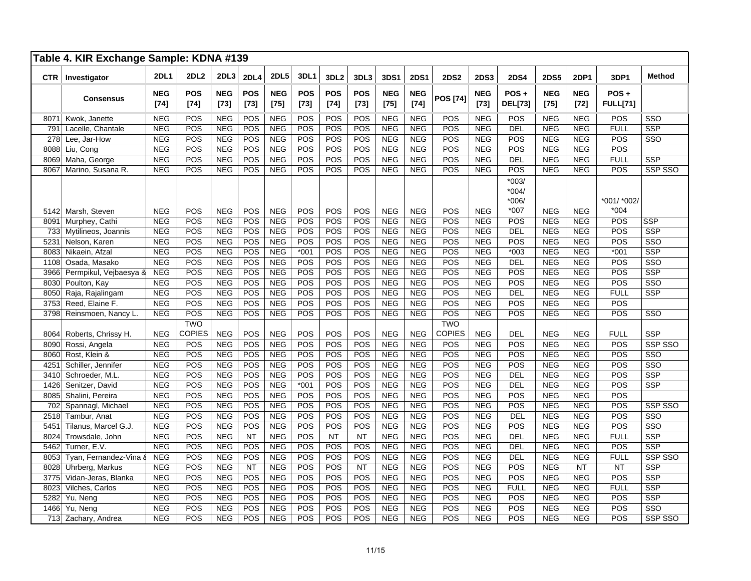|            | Table 4. KIR Exchange Sample: KDNA #139 |                      |                      |                      |                      |                      |                      |                      |                      |                      |                      |                 |                      |                           |                    |                      |                            |                         |
|------------|-----------------------------------------|----------------------|----------------------|----------------------|----------------------|----------------------|----------------------|----------------------|----------------------|----------------------|----------------------|-----------------|----------------------|---------------------------|--------------------|----------------------|----------------------------|-------------------------|
| <b>CTR</b> | Investigator                            | <b>2DL1</b>          | <b>2DL2</b>          | <b>2DL3</b>          | <b>2DL4</b>          | <b>2DL5</b>          | 3DL1                 | 3DL <sub>2</sub>     | 3DL3                 | <b>3DS1</b>          | <b>2DS1</b>          | <b>2DS2</b>     | <b>2DS3</b>          | <b>2DS4</b>               | <b>2DS5</b>        | <b>2DP1</b>          | 3DP1                       | <b>Method</b>           |
|            | <b>Consensus</b>                        | <b>NEG</b><br>$[74]$ | <b>POS</b><br>$[74]$ | <b>NEG</b><br>$[73]$ | <b>POS</b><br>$[73]$ | <b>NEG</b><br>$[75]$ | <b>POS</b><br>$[73]$ | <b>POS</b><br>$[74]$ | <b>POS</b><br>$[73]$ | <b>NEG</b><br>$[75]$ | <b>NEG</b><br>$[74]$ | <b>POS [74]</b> | <b>NEG</b><br>$[73]$ | $POS +$<br><b>DEL[73]</b> | <b>NEG</b><br>[75] | <b>NEG</b><br>$[72]$ | $POS +$<br><b>FULL[71]</b> |                         |
| 8071       | Kwok, Janette                           | <b>NEG</b>           | POS                  | <b>NEG</b>           | POS                  | <b>NEG</b>           | POS                  | POS                  | POS                  | <b>NEG</b>           | <b>NEG</b>           | POS             | <b>NEG</b>           | POS                       | <b>NEG</b>         | <b>NEG</b>           | POS                        | SSO                     |
| 791        | Lacelle, Chantale                       | <b>NEG</b>           | POS                  | <b>NEG</b>           | POS                  | <b>NEG</b>           | POS                  | POS                  | POS                  | <b>NEG</b>           | <b>NEG</b>           | POS             | <b>NEG</b>           | <b>DEL</b>                | <b>NEG</b>         | <b>NEG</b>           | <b>FULL</b>                | <b>SSP</b>              |
| 278        | Lee, Jar-How                            | <b>NEG</b>           | POS                  | <b>NEG</b>           | POS                  | <b>NEG</b>           | POS                  | POS                  | POS                  | <b>NEG</b>           | <b>NEG</b>           | POS             | <b>NEG</b>           | POS                       | <b>NEG</b>         | <b>NEG</b>           | POS                        | SSO                     |
| 8088       | Liu, Cong                               | <b>NEG</b>           | POS                  | <b>NEG</b>           | POS                  | <b>NEG</b>           | POS                  | POS                  | POS                  | <b>NEG</b>           | <b>NEG</b>           | POS             | <b>NEG</b>           | POS                       | <b>NEG</b>         | <b>NEG</b>           | POS                        |                         |
| 8069       | Maha, George                            | <b>NEG</b>           | POS                  | <b>NEG</b>           | POS                  | <b>NEG</b>           | POS                  | POS                  | POS                  | <b>NEG</b>           | <b>NEG</b>           | POS             | <b>NEG</b>           | DEL                       | <b>NEG</b>         | <b>NEG</b>           | <b>FULL</b>                | <b>SSP</b>              |
| 8067       | Marino, Susana R.                       | <b>NEG</b>           | POS                  | <b>NEG</b>           | POS                  | <b>NEG</b>           | POS                  | POS                  | POS                  | <b>NEG</b>           | <b>NEG</b>           | POS             | <b>NEG</b>           | POS                       | <b>NEG</b>         | <b>NEG</b>           | POS                        | SSP SSO                 |
|            |                                         |                      |                      |                      |                      |                      |                      |                      |                      |                      |                      |                 |                      | $*003/$<br>*004/<br>*006/ |                    |                      | *001/ *002/                |                         |
| 5142       | Marsh, Steven                           | <b>NEG</b>           | POS                  | <b>NEG</b>           | POS                  | <b>NEG</b>           | POS                  | POS                  | POS                  | <b>NEG</b>           | <b>NEG</b>           | POS             | <b>NEG</b>           | *007                      | <b>NEG</b>         | <b>NEG</b>           | $*004$                     |                         |
| 8091       | Murphey, Cathi                          | <b>NEG</b>           | POS                  | <b>NEG</b>           | POS                  | <b>NEG</b>           | POS                  | POS                  | POS                  | <b>NEG</b>           | <b>NEG</b>           | POS             | <b>NEG</b>           | POS                       | <b>NEG</b>         | <b>NEG</b>           | POS                        | <b>SSP</b>              |
| 733        | Mytilineos, Joannis                     | <b>NEG</b>           | POS                  | <b>NEG</b>           | POS                  | <b>NEG</b>           | POS                  | POS                  | POS                  | <b>NEG</b>           | <b>NEG</b>           | POS             | <b>NEG</b>           | DEL                       | <b>NEG</b>         | <b>NEG</b>           | POS                        | <b>SSP</b>              |
| 5231       | Nelson, Karen                           | <b>NEG</b>           | POS                  | <b>NEG</b>           | POS                  | <b>NEG</b>           | POS                  | POS                  | POS                  | <b>NEG</b>           | <b>NEG</b>           | POS             | <b>NEG</b>           | POS                       | <b>NEG</b>         | <b>NEG</b>           | POS                        | SSO                     |
| 8083       | Nikaein, Afzal                          | <b>NEG</b>           | POS                  | <b>NEG</b>           | POS                  | <b>NEG</b>           | $*001$               | POS                  | POS                  | <b>NEG</b>           | <b>NEG</b>           | POS             | <b>NEG</b>           | $*003$                    | <b>NEG</b>         | <b>NEG</b>           | $*001$                     | <b>SSP</b>              |
| 1108       | Osada, Masako                           | <b>NEG</b>           | POS                  | <b>NEG</b>           | POS                  | <b>NEG</b>           | POS                  | POS                  | POS                  | <b>NEG</b>           | <b>NEG</b>           | POS             | <b>NEG</b>           | DEL                       | <b>NEG</b>         | <b>NEG</b>           | POS                        | SSO                     |
| 3966       | Permpikul, Vejbaesya &                  | <b>NEG</b>           | POS                  | <b>NEG</b>           | POS                  | <b>NEG</b>           | POS                  | POS                  | POS                  | <b>NEG</b>           | <b>NEG</b>           | POS             | <b>NEG</b>           | POS                       | <b>NEG</b>         | <b>NEG</b>           | POS                        | <b>SSP</b>              |
| 8030       | Poulton, Kay                            | <b>NEG</b>           | POS                  | <b>NEG</b>           | POS                  | <b>NEG</b>           | POS                  | POS                  | POS                  | <b>NEG</b>           | <b>NEG</b>           | POS             | <b>NEG</b>           | POS                       | <b>NEG</b>         | <b>NEG</b>           | POS                        | SSO                     |
| 8050       | Raja, Rajalingam                        | <b>NEG</b>           | POS                  | <b>NEG</b>           | POS                  | <b>NEG</b>           | POS                  | POS                  | POS                  | <b>NEG</b>           | <b>NEG</b>           | POS             | <b>NEG</b>           | <b>DEL</b>                | <b>NEG</b>         | <b>NEG</b>           | <b>FULL</b>                | <b>SSP</b>              |
| 3753       | Reed, Elaine F.                         | <b>NEG</b>           | POS                  | <b>NEG</b>           | POS                  | <b>NEG</b>           | POS                  | POS                  | POS                  | <b>NEG</b>           | <b>NEG</b>           | POS             | <b>NEG</b>           | POS                       | <b>NEG</b>         | <b>NEG</b>           | POS                        |                         |
| 3798       | Reinsmoen, Nancy L.                     | <b>NEG</b>           | POS                  | <b>NEG</b>           | POS                  | <b>NEG</b>           | POS                  | POS                  | POS                  | <b>NEG</b>           | <b>NEG</b>           | POS             | <b>NEG</b>           | POS                       | <b>NEG</b>         | <b>NEG</b>           | <b>POS</b>                 | SSO                     |
|            |                                         |                      | <b>TWO</b>           |                      |                      |                      |                      |                      |                      |                      |                      | <b>TWO</b>      |                      |                           |                    |                      |                            |                         |
| 8064       | Roberts, Chrissy H.                     | <b>NEG</b>           | COPIES               | <b>NEG</b>           | POS                  | <b>NEG</b>           | POS                  | POS                  | POS                  | <b>NEG</b>           | <b>NEG</b>           | COPIES          | <b>NEG</b>           | <b>DEL</b>                | <b>NEG</b>         | <b>NEG</b>           | <b>FULL</b>                | <b>SSP</b>              |
| 8090       | Rossi, Angela                           | <b>NEG</b>           | POS                  | <b>NEG</b>           | POS                  | <b>NEG</b>           | POS                  | POS                  | POS                  | <b>NEG</b>           | <b>NEG</b>           | POS             | <b>NEG</b>           | POS                       | <b>NEG</b>         | <b>NEG</b>           | POS                        | <b>SSP SSO</b>          |
| 8060       | Rost, Klein &                           | <b>NEG</b>           | POS                  | <b>NEG</b>           | POS                  | <b>NEG</b>           | POS                  | POS                  | POS                  | <b>NEG</b>           | <b>NEG</b>           | POS             | <b>NEG</b>           | POS                       | <b>NEG</b>         | <b>NEG</b>           | POS                        | SSO                     |
| 425'       | Schiller, Jennifer                      | <b>NEG</b>           | POS                  | <b>NEG</b>           | POS                  | <b>NEG</b>           | POS                  | POS                  | POS                  | <b>NEG</b>           | <b>NEG</b>           | POS             | <b>NEG</b>           | POS                       | <b>NEG</b>         | <b>NEG</b>           | POS                        | $\overline{\text{SSO}}$ |
| 3410       | Schroeder, M.L.                         | <b>NEG</b>           | POS                  | <b>NEG</b>           | POS                  | <b>NEG</b>           | POS                  | POS                  | POS                  | <b>NEG</b>           | <b>NEG</b>           | POS             | <b>NEG</b>           | <b>DEL</b>                | <b>NEG</b>         | <b>NEG</b>           | POS                        | <b>SSP</b>              |
| 1426       | Senitzer, David                         | <b>NEG</b>           | POS                  | <b>NEG</b>           | POS                  | <b>NEG</b>           | $*001$               | POS                  | POS                  | <b>NEG</b>           | <b>NEG</b>           | POS             | <b>NEG</b>           | <b>DEL</b>                | <b>NEG</b>         | <b>NEG</b>           | POS                        | <b>SSP</b>              |
| 8085       | Shalini, Pereira                        | <b>NEG</b>           | POS                  | <b>NEG</b>           | POS                  | <b>NEG</b>           | POS                  | POS                  | POS                  | <b>NEG</b>           | <b>NEG</b>           | POS             | <b>NEG</b>           | POS                       | <b>NEG</b>         | <b>NEG</b>           | POS                        |                         |
| 702        | Spannagl, Michael                       | <b>NEG</b>           | POS                  | <b>NEG</b>           | POS                  | <b>NEG</b>           | POS                  | POS                  | POS                  | <b>NEG</b>           | <b>NEG</b>           | POS             | <b>NEG</b>           | POS                       | <b>NEG</b>         | <b>NEG</b>           | POS                        | SSP SSO                 |
| 2518       | Tambur, Anat                            | <b>NEG</b>           | POS                  | <b>NEG</b>           | POS                  | <b>NEG</b>           | POS                  | POS                  | POS                  | <b>NEG</b>           | <b>NEG</b>           | POS             | <b>NEG</b>           | DEL                       | <b>NEG</b>         | <b>NEG</b>           | POS                        | $\overline{\text{SSO}}$ |
| 5451       | Tilanus, Marcel G.J.                    | <b>NEG</b>           | POS                  | <b>NEG</b>           | POS                  | <b>NEG</b>           | POS                  | POS                  | POS                  | <b>NEG</b>           | <b>NEG</b>           | POS             | <b>NEG</b>           | POS                       | <b>NEG</b>         | <b>NEG</b>           | POS                        | SSO                     |
| 8024       | Trowsdale, John                         | <b>NEG</b>           | POS                  | <b>NEG</b>           | <b>NT</b>            | <b>NEG</b>           | POS                  | <b>NT</b>            | NT                   | <b>NEG</b>           | <b>NEG</b>           | POS             | <b>NEG</b>           | <b>DEL</b>                | <b>NEG</b>         | <b>NEG</b>           | <b>FULL</b>                | <b>SSP</b>              |
| 5462       | Turner, E.V.                            | <b>NEG</b>           | POS                  | <b>NEG</b>           | POS                  | <b>NEG</b>           | POS                  | POS                  | POS                  | <b>NEG</b>           | <b>NEG</b>           | POS             | <b>NEG</b>           | <b>DEL</b>                | <b>NEG</b>         | <b>NEG</b>           | POS                        | <b>SSP</b>              |
| 8053       | Tyan, Fernandez-Vina &                  | <b>NEG</b>           | POS                  | <b>NEG</b>           | POS                  | <b>NEG</b>           | POS                  | POS                  | POS                  | <b>NEG</b>           | <b>NEG</b>           | POS             | <b>NEG</b>           | DEL                       | <b>NEG</b>         | <b>NEG</b>           | <b>FULL</b>                | <b>SSP SSO</b>          |
| 8028       | Uhrberg, Markus                         | <b>NEG</b>           | POS                  | <b>NEG</b>           | <b>NT</b>            | <b>NEG</b>           | POS                  | POS                  | NT                   | <b>NEG</b>           | <b>NEG</b>           | POS             | <b>NEG</b>           | POS                       | <b>NEG</b>         | <b>NT</b>            | <b>NT</b>                  | <b>SSP</b>              |
| 3775       | Vidan-Jeras, Blanka                     | <b>NEG</b>           | POS                  | <b>NEG</b>           | POS                  | <b>NEG</b>           | POS                  | POS                  | POS                  | <b>NEG</b>           | <b>NEG</b>           | POS             | <b>NEG</b>           | POS                       | <b>NEG</b>         | <b>NEG</b>           | POS                        | <b>SSP</b>              |
| 8023       | Vilches, Carlos                         | <b>NEG</b>           | POS                  | <b>NEG</b>           | POS                  | <b>NEG</b>           | POS                  | POS                  | POS                  | <b>NEG</b>           | <b>NEG</b>           | POS             | <b>NEG</b>           | <b>FULL</b>               | <b>NEG</b>         | <b>NEG</b>           | <b>FULL</b>                | <b>SSP</b>              |
| 5282       | Yu, Neng                                | <b>NEG</b>           | POS                  | <b>NEG</b>           | POS                  | <b>NEG</b>           | POS                  | POS                  | POS                  | <b>NEG</b>           | <b>NEG</b>           | POS             | <b>NEG</b>           | POS                       | <b>NEG</b>         | <b>NEG</b>           | POS                        | <b>SSP</b>              |
| 1466       | Yu, Neng                                | <b>NEG</b>           | POS                  | <b>NEG</b>           | POS                  | <b>NEG</b>           | POS                  | POS                  | POS                  | <b>NEG</b>           | <b>NEG</b>           | POS             | <b>NEG</b>           | POS                       | <b>NEG</b>         | <b>NEG</b>           | POS                        | $\overline{\text{SSO}}$ |
| 713        | Zachary, Andrea                         | <b>NEG</b>           | POS                  | <b>NEG</b>           | POS                  | <b>NEG</b>           | POS                  | POS                  | POS                  | <b>NEG</b>           | <b>NEG</b>           | POS             | <b>NEG</b>           | POS                       | <b>NEG</b>         | <b>NEG</b>           | POS                        | <b>SSP SSO</b>          |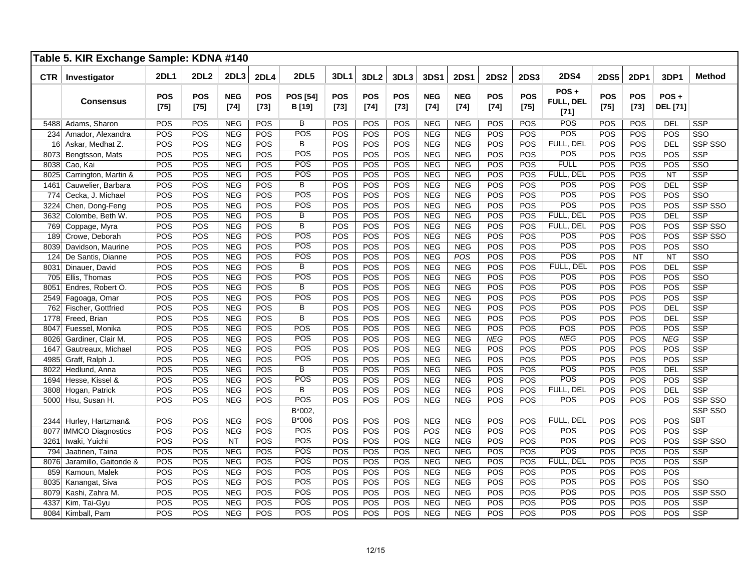|            | Table 5. KIR Exchange Sample: KDNA #140 |                      |                      |                      |                      |                              |                      |               |                      |                      |                      |                      |                      |                             |                      |               |                            |                         |
|------------|-----------------------------------------|----------------------|----------------------|----------------------|----------------------|------------------------------|----------------------|---------------|----------------------|----------------------|----------------------|----------------------|----------------------|-----------------------------|----------------------|---------------|----------------------------|-------------------------|
| <b>CTR</b> | Investigator                            | <b>2DL1</b>          | <b>2DL2</b>          | 2DL3                 | <b>2DL4</b>          | <b>2DL5</b>                  | 3DL1                 | 3DL2          | 3DL3                 | 3DS1                 | <b>2DS1</b>          | <b>2DS2</b>          | <b>2DS3</b>          | <b>2DS4</b>                 | <b>2DS5</b>          | <b>2DP1</b>   | 3DP1                       | <b>Method</b>           |
|            | <b>Consensus</b>                        | <b>POS</b><br>$[75]$ | <b>POS</b><br>$[75]$ | <b>NEG</b><br>$[74]$ | <b>POS</b><br>$[73]$ | <b>POS [54]</b><br>B [19]    | <b>POS</b><br>$[73]$ | POS<br>$[74]$ | <b>POS</b><br>$[73]$ | <b>NEG</b><br>$[74]$ | <b>NEG</b><br>$[74]$ | <b>POS</b><br>$[74]$ | <b>POS</b><br>$[75]$ | POS+<br>FULL, DEL<br>$[71]$ | <b>POS</b><br>$[75]$ | POS<br>$[73]$ | $POS +$<br><b>DEL</b> [71] |                         |
|            | 5488 Adams, Sharon                      | <b>POS</b>           | <b>POS</b>           | <b>NEG</b>           | <b>POS</b>           | B                            | POS                  | <b>POS</b>    | <b>POS</b>           | <b>NEG</b>           | <b>NEG</b>           | POS                  | POS                  | POS                         | <b>POS</b>           | POS           | <b>DEL</b>                 | <b>SSP</b>              |
| 234        | Amador, Alexandra                       | POS                  | POS                  | <b>NEG</b>           | POS                  | POS                          | POS                  | POS           | POS                  | <b>NEG</b>           | <b>NEG</b>           | POS                  | POS                  | POS                         | POS                  | POS           | POS                        | $\overline{\text{SSO}}$ |
| 16         | Askar, Medhat Z.                        | POS                  | POS                  | <b>NEG</b>           | POS                  | $\overline{B}$               | POS                  | POS           | POS                  | <b>NEG</b>           | <b>NEG</b>           | POS                  | POS                  | FULL, DEL                   | POS                  | POS           | DEL                        | SSP SSO                 |
| 8073       | Bengtsson, Mats                         | POS                  | POS                  | <b>NEG</b>           | POS                  | POS                          | POS                  | POS           | POS                  | <b>NEG</b>           | <b>NEG</b>           | POS                  | POS                  | POS                         | POS                  | POS           | POS                        | <b>SSP</b>              |
| 8038       | Cao, Kai                                | POS                  | POS                  | <b>NEG</b>           | POS                  | <b>POS</b>                   | POS                  | POS           | POS                  | <b>NEG</b>           | <b>NEG</b>           | POS                  | POS                  | <b>FULL</b>                 | POS                  | POS           | POS                        | SSO                     |
| 8025       | Carrington, Martin &                    | POS                  | POS                  | <b>NEG</b>           | POS                  | POS                          | POS                  | POS           | POS                  | <b>NEG</b>           | <b>NEG</b>           | POS                  | POS                  | FULL, DEL                   | POS                  | POS           | <b>NT</b>                  | <b>SSP</b>              |
| 1461       | Cauwelier, Barbara                      | POS                  | POS                  | <b>NEG</b>           | POS                  | B                            | POS                  | POS           | POS                  | <b>NEG</b>           | <b>NEG</b>           | POS                  | POS                  | POS                         | POS                  | POS           | DEL                        | <b>SSP</b>              |
| 774        | Cecka, J. Michael                       | POS                  | POS                  | <b>NEG</b>           | POS                  | POS                          | POS                  | POS           | POS                  | <b>NEG</b>           | <b>NEG</b>           | POS                  | POS                  | POS                         | POS                  | POS           | POS                        | SSO                     |
| 3224       | Chen, Dong-Feng                         | POS                  | POS                  | <b>NEG</b>           | POS                  | POS                          | POS                  | POS           | POS                  | <b>NEG</b>           | <b>NEG</b>           | POS                  | POS                  | POS                         | POS                  | POS           | POS                        | SSP SSO                 |
| 3632       | Colombe, Beth W.                        | POS                  | POS                  | <b>NEG</b>           | POS                  | В                            | POS                  | POS           | POS                  | <b>NEG</b>           | <b>NEG</b>           | POS                  | POS                  | FULL, DEL                   | POS                  | POS           | DEL                        | <b>SSP</b>              |
| 769        | Coppage, Myra                           | POS                  | POS                  | <b>NEG</b>           | POS                  | $\overline{B}$               | POS                  | POS           | POS                  | <b>NEG</b>           | <b>NEG</b>           | POS                  | POS                  | FULL, DEL                   | POS                  | POS           | POS                        | SSP SSO                 |
| 189        | Crowe, Deborah                          | POS                  | POS                  | <b>NEG</b>           | POS                  | POS                          | POS                  | POS           | POS                  | <b>NEG</b>           | <b>NEG</b>           | POS                  | POS                  | POS                         | POS                  | POS           | POS                        | SSP SSO                 |
| 8039       | Davidson, Maurine                       | POS                  | POS                  | <b>NEG</b>           | POS                  | POS                          | POS                  | POS           | POS                  | <b>NEG</b>           | <b>NEG</b>           | POS                  | POS                  | POS                         | POS                  | POS           | POS                        | SSO                     |
| 124        | De Santis, Dianne                       | POS                  | POS                  | <b>NEG</b>           | POS                  | POS                          | POS                  | POS           | POS                  | <b>NEG</b>           | POS                  | POS                  | POS                  | POS                         | POS                  | <b>NT</b>     | <b>NT</b>                  | SSO                     |
| 8031       | Dinauer, David                          | POS                  | POS                  | <b>NEG</b>           | POS                  | B                            | POS                  | POS           | POS                  | <b>NEG</b>           | <b>NEG</b>           | POS                  | POS                  | FULL, DEL                   | POS                  | POS           | <b>DEL</b>                 | <b>SSP</b>              |
| 705        | Ellis. Thomas                           | POS                  | POS                  | <b>NEG</b>           | POS                  | POS                          | POS                  | POS           | POS                  | <b>NEG</b>           | <b>NEG</b>           | POS                  | POS                  | POS                         | POS                  | POS           | POS                        | SSO                     |
| 8051       | Endres, Robert O.                       | POS                  | POS                  | <b>NEG</b>           | POS                  | B                            | POS                  | POS           | POS                  | <b>NEG</b>           | <b>NEG</b>           | POS                  | POS                  | POS                         | POS                  | POS           | POS                        | <b>SSP</b>              |
| 2549       | Fagoaga, Omar                           | POS                  | POS                  | <b>NEG</b>           | POS                  | POS                          | POS                  | POS           | POS                  | <b>NEG</b>           | <b>NEG</b>           | POS                  | POS                  | POS                         | POS                  | POS           | POS                        | <b>SSP</b>              |
| 762        | Fischer, Gottfried                      | POS                  | POS                  | <b>NEG</b>           | POS                  | B                            | POS                  | POS           | POS                  | <b>NEG</b>           | <b>NEG</b>           | POS                  | POS                  | POS                         | POS                  | POS           | <b>DEL</b>                 | <b>SSP</b>              |
| 1778       | Freed, Brian                            | POS                  | POS                  | <b>NEG</b>           | <b>POS</b>           | B                            | POS                  | POS           | POS                  | <b>NEG</b>           | <b>NEG</b>           | POS                  | POS                  | POS                         | POS                  | POS           | DEL                        | <b>SSP</b>              |
| 8047       | Fuessel, Monika                         | POS                  | POS                  | <b>NEG</b>           | POS                  | POS                          | POS                  | POS           | POS                  | <b>NEG</b>           | <b>NEG</b>           | POS                  | POS                  | POS                         | POS                  | POS           | POS                        | <b>SSP</b>              |
| 8026       | Gardiner, Clair M.                      | POS                  | POS                  | <b>NEG</b>           | POS                  | POS                          | POS                  | POS           | POS                  | <b>NEG</b>           | <b>NEG</b>           | <b>NEG</b>           | POS                  | <b>NEG</b>                  | POS                  | POS           | <b>NEG</b>                 | <b>SSP</b>              |
| 1647       | Gautreaux, Michael                      | POS                  | POS                  | <b>NEG</b>           | POS                  | POS                          | POS                  | POS           | POS                  | <b>NEG</b>           | <b>NEG</b>           | POS                  | POS                  | POS                         | POS                  | POS           | POS                        | <b>SSP</b>              |
| 4985       | Graff, Ralph J.                         | POS                  | POS                  | <b>NEG</b>           | POS                  | POS                          | POS                  | POS           | POS                  | <b>NEG</b>           | <b>NEG</b>           | POS                  | POS                  | POS                         | POS                  | POS           | POS                        | <b>SSP</b>              |
| 8022       | Hedlund, Anna                           | POS                  | POS                  | <b>NEG</b>           | POS                  | В                            | POS                  | POS           | POS                  | <b>NEG</b>           | <b>NEG</b>           | POS                  | POS                  | POS                         | POS                  | POS           | DEL                        | <b>SSP</b>              |
| 1694       | Hesse, Kissel &                         | POS                  | POS                  | <b>NEG</b>           | <b>POS</b>           | POS                          | POS                  | POS           | POS                  | <b>NEG</b>           | <b>NEG</b>           | POS                  | POS                  | POS                         | POS                  | POS           | POS                        | <b>SSP</b>              |
| 3808       | Hogan, Patrick                          | POS                  | POS                  | <b>NEG</b>           | POS                  | B                            | POS                  | POS           | POS                  | <b>NEG</b>           | <b>NEG</b>           | POS                  | POS                  | FULL, DEL                   | POS                  | POS           | DEL                        | <b>SSP</b>              |
| 5000       | Hsu, Susan H.                           | POS                  | POS                  | <b>NEG</b>           | POS                  | POS                          | POS                  | POS           | POS                  | <b>NEG</b>           | <b>NEG</b>           | POS                  | POS                  | POS                         | POS                  | POS           | POS                        | SSP SSO                 |
| 2344       | Hurley, Hartzman&                       | POS                  | POS                  | <b>NEG</b>           | POS                  | $\overline{B^*002}$<br>B*006 | POS                  | POS           | POS                  | <b>NEG</b>           | <b>NEG</b>           | POS                  | POS                  | FULL, DEL                   | POS                  | POS           | POS                        | SSP SSO<br><b>SBT</b>   |
| 8077       | <b>IMMCO Diagnostics</b>                | POS                  | POS                  | <b>NEG</b>           | POS                  | <b>POS</b>                   | POS                  | POS           | POS                  | POS                  | <b>NEG</b>           | POS                  | POS                  | POS                         | POS                  | POS           | POS                        | <b>SSP</b>              |
| 3261       | Iwaki, Yuichi                           | POS                  | POS                  | <b>NT</b>            | POS                  | POS                          | POS                  | POS           | POS                  | <b>NEG</b>           | <b>NEG</b>           | POS                  | POS                  | POS                         | POS                  | POS           | POS                        | SSP SSO                 |
| 794        | Jaatinen, Taina                         | POS                  | POS                  | <b>NEG</b>           | <b>POS</b>           | POS                          | POS                  | POS           | POS                  | <b>NEG</b>           | <b>NEG</b>           | POS                  | POS                  | POS                         | POS                  | POS           | POS                        | <b>SSP</b>              |
| 8076       | Jaramillo, Gaitonde &                   | POS                  | POS                  | <b>NEG</b>           | POS                  | POS                          | POS                  | POS           | POS                  | <b>NEG</b>           | <b>NEG</b>           | POS                  | POS                  | FULL, DEL                   | POS                  | POS           | POS                        | <b>SSP</b>              |
| 859        | Kamoun, Malek                           | POS                  | POS                  | <b>NEG</b>           | POS                  | POS                          | POS                  | POS           | POS                  | <b>NEG</b>           | <b>NEG</b>           | POS                  | POS                  | POS                         | POS                  | POS           | POS                        |                         |
| 8035       | Kanangat, Siva                          | POS                  | POS                  | <b>NEG</b>           | POS                  | POS                          | POS                  | POS           | POS                  | <b>NEG</b>           | <b>NEG</b>           | POS                  | POS                  | POS                         | POS                  | POS           | POS                        | SSO                     |
| 8079       | Kashi, Zahra M.                         | POS                  | POS                  | <b>NEG</b>           | POS                  | <b>POS</b>                   | POS                  | POS           | POS                  | <b>NEG</b>           | <b>NEG</b>           | POS                  | POS                  | POS                         | POS                  | POS           | POS                        | SSP SSO                 |
| 4337       | Kim, Tai-Gyu                            | POS                  | POS                  | <b>NEG</b>           | POS                  | POS                          | POS                  | POS           | POS                  | <b>NEG</b>           | <b>NEG</b>           | POS                  | POS                  | POS                         | POS                  | POS           | POS                        | <b>SSP</b>              |
| 8084       | Kimball, Pam                            | POS                  | POS                  | <b>NEG</b>           | POS                  | POS                          | POS                  | POS           | POS                  | <b>NEG</b>           | <b>NEG</b>           | POS                  | POS                  | POS                         | POS                  | POS           | POS                        | <b>SSP</b>              |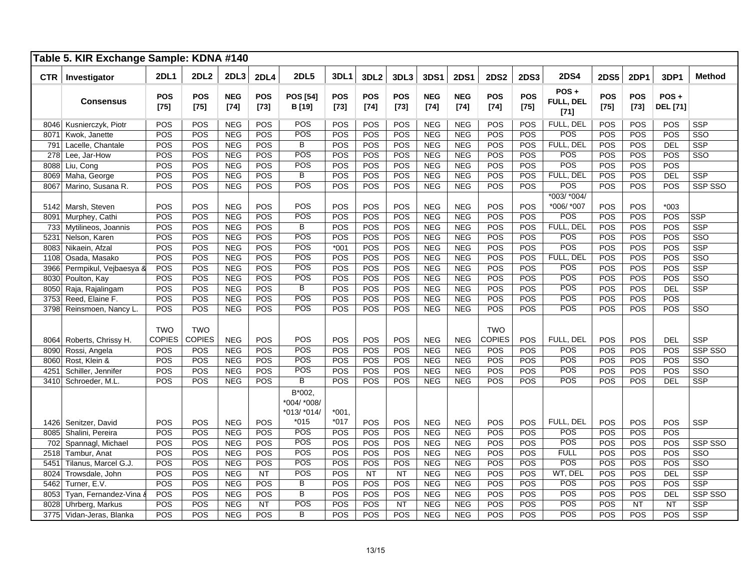|              | Table 5. KIR Exchange Sample: KDNA #140 |                      |                      |                          |                      |                                      |                      |                      |                      |                          |                          |                      |                      |                                   |                      |                      |                            |                         |
|--------------|-----------------------------------------|----------------------|----------------------|--------------------------|----------------------|--------------------------------------|----------------------|----------------------|----------------------|--------------------------|--------------------------|----------------------|----------------------|-----------------------------------|----------------------|----------------------|----------------------------|-------------------------|
| <b>CTR</b>   | Investigator                            | <b>2DL1</b>          | <b>2DL2</b>          | 2DL3                     | <b>2DL4</b>          | <b>2DL5</b>                          | 3DL1                 | 3DL2                 | 3DL3                 | 3DS1                     | <b>2DS1</b>              | <b>2DS2</b>          | <b>2DS3</b>          | <b>2DS4</b>                       | <b>2DS5</b>          | <b>2DP1</b>          | 3DP1                       | <b>Method</b>           |
|              | <b>Consensus</b>                        | <b>POS</b><br>$[75]$ | <b>POS</b><br>$[75]$ | <b>NEG</b><br>$[74]$     | <b>POS</b><br>$[73]$ | <b>POS [54]</b><br>B [19]            | <b>POS</b><br>$[73]$ | <b>POS</b><br>$[74]$ | <b>POS</b><br>$[73]$ | <b>NEG</b><br>$[74]$     | <b>NEG</b><br>$[74]$     | <b>POS</b><br>$[74]$ | <b>POS</b><br>$[75]$ | POS+<br>FULL, DEL<br>$[71]$       | <b>POS</b><br>$[75]$ | <b>POS</b><br>$[73]$ | $POS +$<br><b>DEL</b> [71] |                         |
|              | 8046 Kusnierczyk, Piotr                 | POS                  | POS                  | <b>NEG</b>               | POS                  | POS                                  | POS                  | POS                  | POS                  | <b>NEG</b>               | <b>NEG</b>               | POS                  | POS                  | FULL, DEL                         | POS                  | POS                  | POS                        | <b>SSP</b>              |
| 8071         | Kwok, Janette                           | POS                  | POS                  | <b>NEG</b>               | POS                  | POS                                  | POS                  | POS                  | POS                  | <b>NEG</b>               | <b>NEG</b>               | POS                  | POS                  | POS                               | POS                  | POS                  | POS                        | SSO                     |
| 791          | Lacelle, Chantale                       | POS                  | POS                  | <b>NEG</b>               | POS                  | B                                    | POS                  | POS                  | POS                  | <b>NEG</b>               | <b>NEG</b>               | POS                  | POS                  | FULL, DEL                         | POS                  | POS                  | DEL                        | <b>SSP</b>              |
| 278          | Lee, Jar-How                            | POS                  | POS                  | <b>NEG</b>               | POS                  | POS                                  | POS                  | POS                  | POS                  | <b>NEG</b>               | <b>NEG</b>               | POS                  | POS                  | POS                               | POS                  | POS                  | POS                        | $\overline{\text{SSO}}$ |
| 8088         | Liu, Cong                               | POS                  | POS                  | <b>NEG</b>               | POS                  | POS                                  | POS                  | POS                  | POS                  | <b>NEG</b>               | <b>NEG</b>               | POS                  | POS                  | POS                               | POS                  | POS                  | POS                        |                         |
|              | 8069 Maha, George                       | POS                  | POS                  | <b>NEG</b>               | POS                  | $\overline{B}$                       | POS                  | POS                  | POS                  | <b>NEG</b>               | <b>NEG</b>               | POS                  | POS                  | FULL, DEL                         | POS                  | POS                  | DEL                        | <b>SSP</b>              |
| 8067         | Marino, Susana R.                       | POS                  | POS                  | <b>NEG</b>               | POS                  | POS                                  | POS                  | POS                  | POS                  | <b>NEG</b>               | <b>NEG</b>               | POS                  | POS                  | POS                               | POS                  | POS                  | POS                        | SSP SSO                 |
| 5142         | Marsh, Steven                           | POS<br>POS           | POS<br>POS           | <b>NEG</b><br><b>NEG</b> | POS<br>POS           | POS<br>POS                           | POS<br>POS           | POS<br>POS           | POS<br>POS           | <b>NEG</b><br><b>NEG</b> | <b>NEG</b>               | POS<br>POS           | POS<br>POS           | $*003/*004/$<br>*006/ *007<br>POS | POS<br>POS           | POS<br>POS           | $*003$<br>POS              | <b>SSP</b>              |
| 8091         | Murphey, Cathi                          | POS                  | POS                  | <b>NEG</b>               | POS                  | $\overline{B}$                       | POS                  | POS                  | POS                  | <b>NEG</b>               | <b>NEG</b><br><b>NEG</b> | POS                  | POS                  | FULL, DEL                         | POS                  | POS                  | POS                        | <b>SSP</b>              |
| 733          | Mytilineos, Joannis<br>Nelson, Karen    | POS                  | POS                  | <b>NEG</b>               | POS                  | POS                                  | POS                  | POS                  | POS                  | <b>NEG</b>               | <b>NEG</b>               | POS                  | POS                  | POS                               | POS                  | POS                  | POS                        | SSO                     |
| 5231<br>8083 | Nikaein, Afzal                          | POS                  | POS                  | <b>NEG</b>               | POS                  | POS                                  | $*001$               | POS                  | POS                  | <b>NEG</b>               | <b>NEG</b>               | POS                  | POS                  | POS                               | POS                  | POS                  | POS                        | <b>SSP</b>              |
| 1108         | Osada, Masako                           | POS                  | POS                  | <b>NEG</b>               | POS                  | POS                                  | POS                  | POS                  | POS                  | <b>NEG</b>               | <b>NEG</b>               | POS                  | POS                  | FULL, DEL                         | POS                  | POS                  | POS                        | SSO                     |
| 3966         | Permpikul, Vejbaesya &                  | POS                  | POS                  | <b>NEG</b>               | POS                  | POS                                  | POS                  | POS                  | POS                  | <b>NEG</b>               | <b>NEG</b>               | POS                  | POS                  | POS                               | POS                  | POS                  | POS                        | <b>SSP</b>              |
| 8030         | Poulton, Kay                            | POS                  | POS                  | <b>NEG</b>               | POS                  | POS                                  | POS                  | POS                  | POS                  | <b>NEG</b>               | <b>NEG</b>               | POS                  | POS                  | POS                               | POS                  | POS                  | POS                        | SSO                     |
| 8050         | Raja, Rajalingam                        | POS                  | POS                  | <b>NEG</b>               | POS                  | $\overline{B}$                       | POS                  | POS                  | POS                  | <b>NEG</b>               | <b>NEG</b>               | POS                  | POS                  | POS                               | POS                  | POS                  | <b>DEL</b>                 | <b>SSP</b>              |
| 3753         | Reed, Elaine F.                         | POS                  | POS                  | <b>NEG</b>               | POS                  | POS                                  | POS                  | POS                  | POS                  | <b>NEG</b>               | <b>NEG</b>               | POS                  | POS                  | POS                               | POS                  | POS                  | POS                        |                         |
|              | 3798 Reinsmoen, Nancy L.                | POS                  | POS                  | <b>NEG</b>               | POS                  | <b>POS</b>                           | POS                  | POS                  | POS                  | <b>NEG</b>               | <b>NEG</b>               | POS                  | POS                  | POS                               | POS                  | POS                  | POS                        | SSO                     |
|              |                                         | <b>TWO</b>           | <b>TWO</b>           |                          |                      |                                      |                      |                      |                      |                          |                          | <b>TWO</b>           |                      |                                   |                      |                      |                            |                         |
| 8064         | Roberts, Chrissy H.                     | <b>COPIES</b>        | <b>COPIES</b>        | <b>NEG</b>               | POS                  | POS                                  | POS                  | POS                  | POS                  | <b>NEG</b>               | <b>NEG</b>               | <b>COPIES</b>        | POS                  | FULL, DEL                         | POS                  | POS                  | <b>DEL</b>                 | <b>SSP</b>              |
| 8090         | Rossi, Angela                           | POS                  | POS                  | <b>NEG</b>               | POS                  | <b>POS</b>                           | POS                  | POS                  | POS                  | <b>NEG</b>               | <b>NEG</b>               | POS                  | POS                  | POS                               | POS                  | POS                  | POS                        | SSP SSO                 |
| 8060         | Rost, Klein &                           | POS                  | POS                  | <b>NEG</b>               | POS                  | POS                                  | POS                  | POS                  | POS                  | <b>NEG</b>               | <b>NEG</b>               | POS                  | POS                  | POS                               | POS                  | POS                  | POS                        | $\overline{\text{SSO}}$ |
| 4251         | Schiller, Jennifer                      | POS                  | POS                  | <b>NEG</b>               | POS                  | POS                                  | POS                  | POS                  | POS                  | <b>NEG</b>               | <b>NEG</b>               | POS                  | POS                  | POS                               | POS                  | POS                  | POS                        | SSO                     |
|              | 3410 Schroeder, M.L.                    | POS                  | POS                  | <b>NEG</b>               | POS                  | B                                    | POS                  | POS                  | POS                  | <b>NEG</b>               | <b>NEG</b>               | POS                  | POS                  | POS                               | POS                  | POS                  | <b>DEL</b>                 | <b>SSP</b>              |
|              |                                         |                      |                      |                          |                      | B*002,<br>*004/ *008/<br>*013/ *014/ | $*001.$              |                      |                      |                          |                          |                      |                      |                                   |                      |                      |                            |                         |
| 1426         | Senitzer, David                         | POS                  | POS                  | <b>NEG</b>               | POS                  | $*015$                               | $*017$               | POS                  | POS                  | <b>NEG</b>               | <b>NEG</b>               | POS                  | POS                  | FULL, DEL                         | POS                  | POS                  | POS                        | <b>SSP</b>              |
| 8085         | Shalini, Pereira                        | POS                  | POS                  | <b>NEG</b>               | POS                  | POS                                  | POS                  | POS                  | POS                  | <b>NEG</b>               | <b>NEG</b>               | POS                  | POS                  | POS                               | POS                  | POS                  | POS                        |                         |
| 702          | Spannagl, Michael                       | POS                  | POS                  | <b>NEG</b>               | POS                  | POS                                  | POS                  | POS                  | POS                  | <b>NEG</b>               | <b>NEG</b>               | POS                  | POS                  | POS                               | POS                  | POS                  | POS                        | SSP SSO                 |
| 2518         | Tambur, Anat                            | POS                  | POS                  | <b>NEG</b>               | POS                  | POS                                  | POS                  | POS                  | POS                  | <b>NEG</b>               | <b>NEG</b>               | POS                  | POS                  | <b>FULL</b>                       | POS                  | POS                  | POS                        | SSO                     |
| 5451         | Tilanus, Marcel G.J.                    | POS                  | POS                  | <b>NEG</b>               | POS                  | POS                                  | POS                  | POS                  | POS                  | <b>NEG</b>               | <b>NEG</b>               | POS                  | POS                  | POS                               | POS                  | POS                  | POS                        | $\overline{\text{SSO}}$ |
| 8024         | Trowsdale, John                         | POS                  | POS                  | <b>NEG</b>               | NT                   | POS                                  | POS                  | NT                   | <b>NT</b>            | <b>NEG</b>               | <b>NEG</b>               | POS                  | POS                  | WT, DEL                           | POS                  | POS                  | DEL                        | <b>SSP</b>              |
| 5462         | Turner, E.V.                            | POS                  | POS                  | <b>NEG</b>               | POS                  | $\overline{B}$                       | POS                  | POS                  | POS                  | <b>NEG</b>               | <b>NEG</b>               | POS                  | POS                  | POS                               | POS                  | POS                  | POS                        | <b>SSP</b>              |
| 8053         | Tyan, Fernandez-Vina &                  | POS                  | POS                  | <b>NEG</b>               | POS                  | B                                    | POS                  | POS                  | POS                  | <b>NEG</b>               | <b>NEG</b>               | POS                  | POS                  | POS                               | POS                  | POS                  | DEL                        | SSP SSO                 |
| 8028         | Uhrberg, Markus                         | POS                  | POS                  | <b>NEG</b>               | <b>NT</b>            | POS                                  | POS                  | POS                  | NT                   | <b>NEG</b>               | <b>NEG</b>               | POS                  | POS                  | POS                               | POS                  | <b>NT</b>            | NT                         | <b>SSP</b>              |
|              | 3775 Vidan-Jeras, Blanka                | POS                  | POS                  | <b>NEG</b>               | POS                  | $\overline{B}$                       | POS                  | POS                  | POS                  | <b>NEG</b>               | <b>NEG</b>               | POS                  | POS                  | POS                               | POS                  | POS                  | POS                        | SSP                     |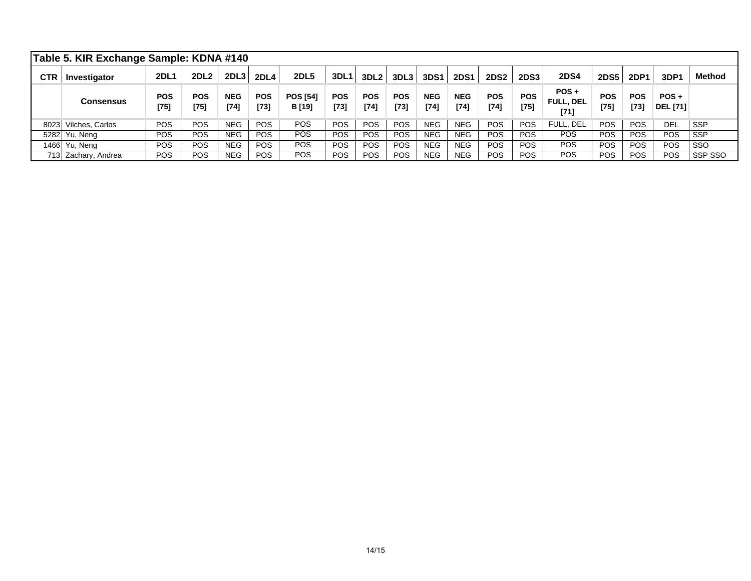|            | Table 5. KIR Exchange Sample: KDNA #140 |                      |                  |                      |                      |                                  |                      |                      |                    |                      |                      |                    |                      |                                       |                      |                    |                            |               |
|------------|-----------------------------------------|----------------------|------------------|----------------------|----------------------|----------------------------------|----------------------|----------------------|--------------------|----------------------|----------------------|--------------------|----------------------|---------------------------------------|----------------------|--------------------|----------------------------|---------------|
| <b>CTR</b> | Investigator                            | <b>2DL1</b>          | 2DL <sub>2</sub> | 2DL <sub>3</sub>     | <b>2DL4</b>          | <b>2DL5</b>                      | <b>3DL1</b>          | 3DL <sub>2</sub>     | 3DL3               | <b>3DS1</b>          | <b>2DS1</b>          | <b>2DS2</b>        | <b>2DS3</b>          | <b>2DS4</b>                           | <b>2DS5</b>          | <b>2DP1</b>        | 3DP1                       | <b>Method</b> |
|            | <b>Consensus</b>                        | <b>POS</b><br>$[75]$ | POS<br>$[75]$    | <b>NEG</b><br>$[74]$ | <b>POS</b><br>$[73]$ | <b>POS [54]</b><br><b>B</b> [19] | <b>POS</b><br>$[73]$ | <b>POS</b><br>$[74]$ | <b>POS</b><br>[73] | <b>NEG</b><br>$[74]$ | <b>NEG</b><br>$[74]$ | <b>POS</b><br>[74] | <b>POS</b><br>$[75]$ | $POS +$<br><b>FULL, DEL</b><br>$[71]$ | <b>POS</b><br>$[75]$ | <b>POS</b><br>[73] | $POS +$<br><b>DEL [71]</b> |               |
|            | 8023 Vilches, Carlos                    | <b>POS</b>           | <b>POS</b>       | <b>NEG</b>           | <b>POS</b>           | <b>POS</b>                       | <b>POS</b>           | <b>POS</b>           | <b>POS</b>         | <b>NEG</b>           | <b>NEG</b>           | <b>POS</b>         | <b>POS</b>           | FULL, DEL                             | <b>POS</b>           | <b>POS</b>         | DEL                        | <b>SSP</b>    |
|            | 5282 Yu, Neng                           | POS                  | <b>POS</b>       | <b>NEG</b>           | <b>POS</b>           | <b>POS</b>                       | POS                  | <b>POS</b>           | <b>POS</b>         | <b>NEG</b>           | <b>NEG</b>           | <b>POS</b>         | POS.                 | <b>POS</b>                            | <b>POS</b>           | <b>POS</b>         | <b>POS</b>                 | <b>SSP</b>    |
|            | 1466 Yu, Neng                           | POS                  | <b>POS</b>       | <b>NEG</b>           | <b>POS</b>           | POS                              | POS                  | <b>POS</b>           | POS                | <b>NEG</b>           | <b>NEG</b>           | POS                | <b>POS</b>           | <b>POS</b>                            | <b>POS</b>           | <b>POS</b>         | <b>POS</b>                 | SSO           |
|            | 713 Zachary, Andrea                     | POS                  | <b>POS</b>       | <b>NEG</b>           | <b>POS</b>           | <b>POS</b>                       | <b>POS</b>           | <b>POS</b>           | <b>POS</b>         | <b>NEG</b>           | <b>NEG</b>           | POS                | POS.                 | <b>POS</b>                            | <b>POS</b>           | <b>POS</b>         | POS                        | SSP SSO       |